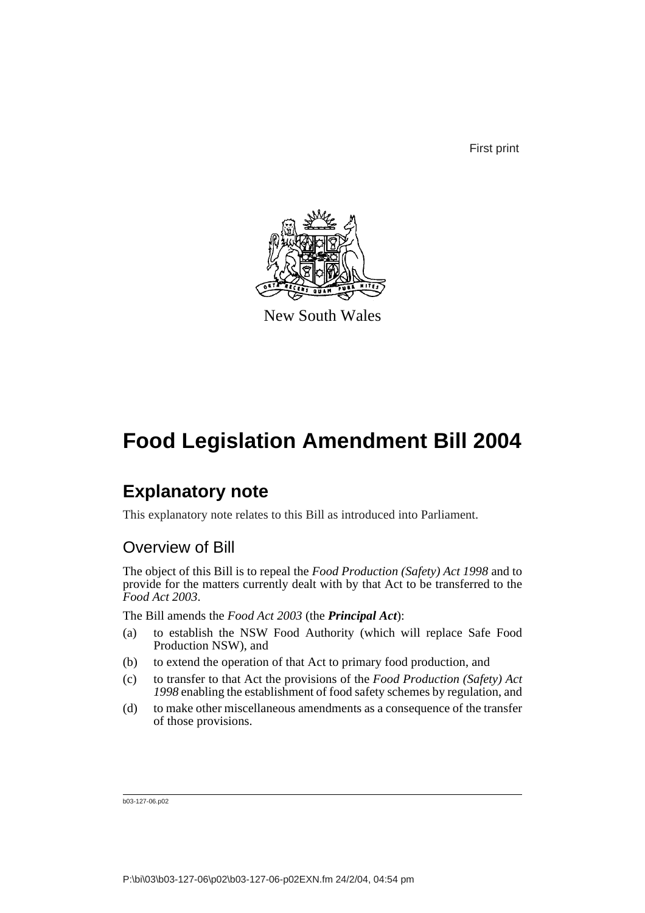First print



New South Wales

# **Food Legislation Amendment Bill 2004**

## **Explanatory note**

This explanatory note relates to this Bill as introduced into Parliament.

## Overview of Bill

The object of this Bill is to repeal the *Food Production (Safety) Act 1998* and to provide for the matters currently dealt with by that Act to be transferred to the *Food Act 2003*.

The Bill amends the *Food Act 2003* (the *Principal Act*):

- (a) to establish the NSW Food Authority (which will replace Safe Food Production NSW), and
- (b) to extend the operation of that Act to primary food production, and
- (c) to transfer to that Act the provisions of the *Food Production (Safety) Act 1998* enabling the establishment of food safety schemes by regulation, and
- (d) to make other miscellaneous amendments as a consequence of the transfer of those provisions.

b03-127-06.p02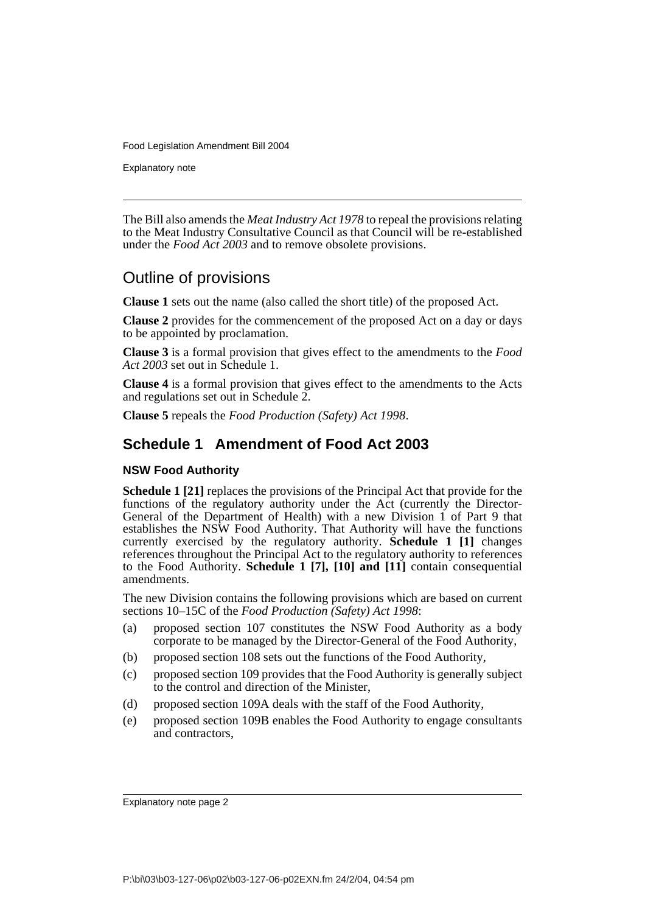Explanatory note

The Bill also amends the *Meat Industry Act 1978* to repeal the provisions relating to the Meat Industry Consultative Council as that Council will be re-established under the *Food Act 2003* and to remove obsolete provisions.

## Outline of provisions

**Clause 1** sets out the name (also called the short title) of the proposed Act.

**Clause 2** provides for the commencement of the proposed Act on a day or days to be appointed by proclamation.

**Clause 3** is a formal provision that gives effect to the amendments to the *Food Act 2003* set out in Schedule 1.

**Clause 4** is a formal provision that gives effect to the amendments to the Acts and regulations set out in Schedule 2.

**Clause 5** repeals the *Food Production (Safety) Act 1998*.

## **Schedule 1 Amendment of Food Act 2003**

### **NSW Food Authority**

**Schedule 1 [21]** replaces the provisions of the Principal Act that provide for the functions of the regulatory authority under the Act (currently the Director-General of the Department of Health) with a new Division 1 of Part 9 that establishes the NSW Food Authority. That Authority will have the functions currently exercised by the regulatory authority. **Schedule 1 [1]** changes references throughout the Principal Act to the regulatory authority to references to the Food Authority. **Schedule 1 [7], [10] and [11]** contain consequential amendments.

The new Division contains the following provisions which are based on current sections 10–15C of the *Food Production (Safety) Act 1998*:

- (a) proposed section 107 constitutes the NSW Food Authority as a body corporate to be managed by the Director-General of the Food Authority,
- (b) proposed section 108 sets out the functions of the Food Authority,
- (c) proposed section 109 provides that the Food Authority is generally subject to the control and direction of the Minister,
- (d) proposed section 109A deals with the staff of the Food Authority,
- (e) proposed section 109B enables the Food Authority to engage consultants and contractors,

Explanatory note page 2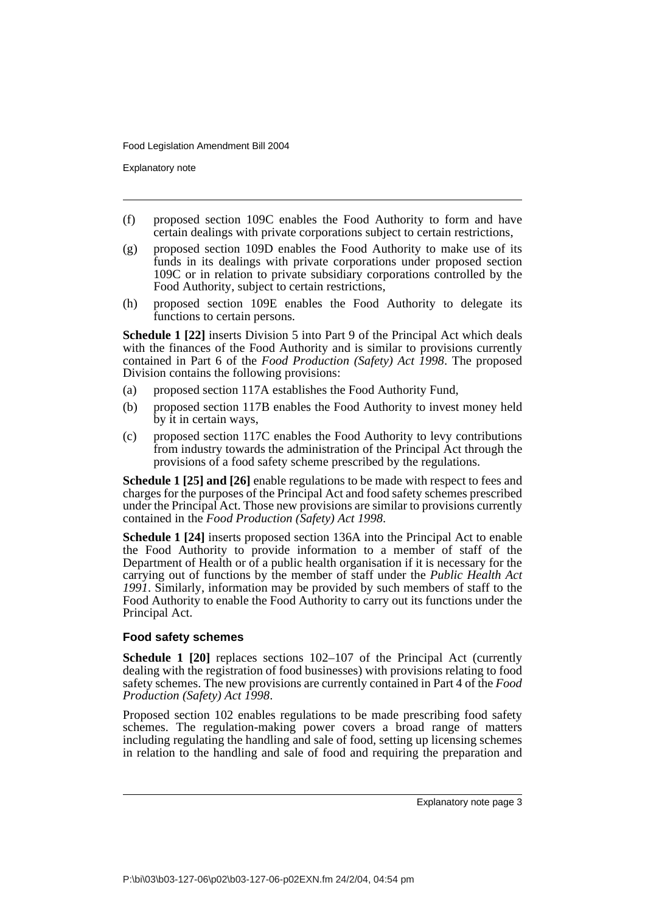Explanatory note

- (f) proposed section 109C enables the Food Authority to form and have certain dealings with private corporations subject to certain restrictions,
- (g) proposed section 109D enables the Food Authority to make use of its funds in its dealings with private corporations under proposed section 109C or in relation to private subsidiary corporations controlled by the Food Authority, subject to certain restrictions,
- (h) proposed section 109E enables the Food Authority to delegate its functions to certain persons.

**Schedule 1 [22]** inserts Division 5 into Part 9 of the Principal Act which deals with the finances of the Food Authority and is similar to provisions currently contained in Part 6 of the *Food Production (Safety) Act 1998*. The proposed Division contains the following provisions:

- (a) proposed section 117A establishes the Food Authority Fund,
- (b) proposed section 117B enables the Food Authority to invest money held by it in certain ways,
- (c) proposed section 117C enables the Food Authority to levy contributions from industry towards the administration of the Principal Act through the provisions of a food safety scheme prescribed by the regulations.

**Schedule 1 [25] and [26]** enable regulations to be made with respect to fees and charges for the purposes of the Principal Act and food safety schemes prescribed under the Principal Act. Those new provisions are similar to provisions currently contained in the *Food Production (Safety) Act 1998*.

**Schedule 1 [24]** inserts proposed section 136A into the Principal Act to enable the Food Authority to provide information to a member of staff of the Department of Health or of a public health organisation if it is necessary for the carrying out of functions by the member of staff under the *Public Health Act 1991*. Similarly, information may be provided by such members of staff to the Food Authority to enable the Food Authority to carry out its functions under the Principal Act.

### **Food safety schemes**

**Schedule 1 [20]** replaces sections 102–107 of the Principal Act (currently dealing with the registration of food businesses) with provisions relating to food safety schemes. The new provisions are currently contained in Part 4 of the *Food Production (Safety) Act 1998*.

Proposed section 102 enables regulations to be made prescribing food safety schemes. The regulation-making power covers a broad range of matters including regulating the handling and sale of food, setting up licensing schemes in relation to the handling and sale of food and requiring the preparation and

Explanatory note page 3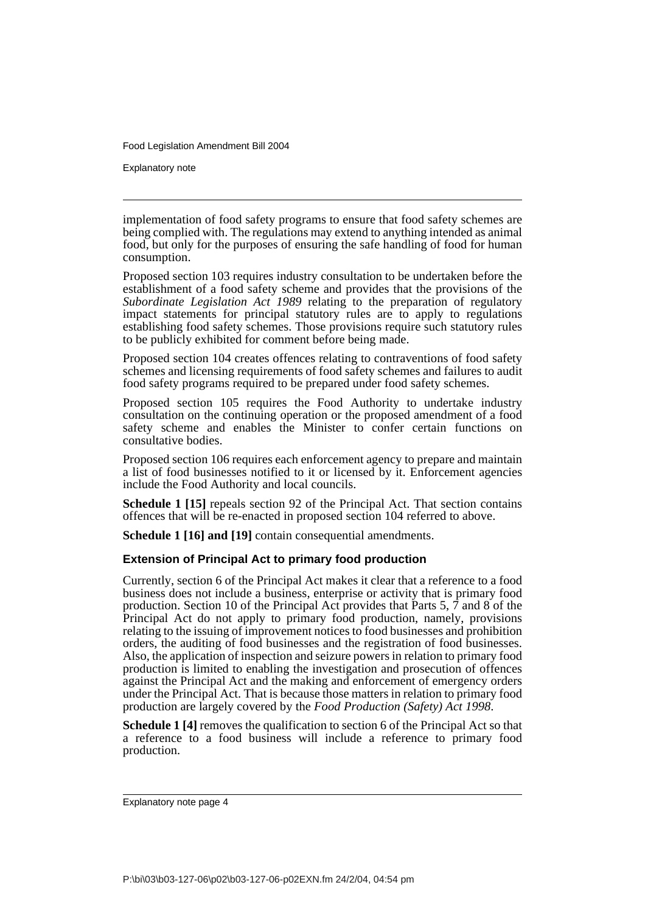Explanatory note

implementation of food safety programs to ensure that food safety schemes are being complied with. The regulations may extend to anything intended as animal food, but only for the purposes of ensuring the safe handling of food for human consumption.

Proposed section 103 requires industry consultation to be undertaken before the establishment of a food safety scheme and provides that the provisions of the *Subordinate Legislation Act 1989* relating to the preparation of regulatory impact statements for principal statutory rules are to apply to regulations establishing food safety schemes. Those provisions require such statutory rules to be publicly exhibited for comment before being made.

Proposed section 104 creates offences relating to contraventions of food safety schemes and licensing requirements of food safety schemes and failures to audit food safety programs required to be prepared under food safety schemes.

Proposed section 105 requires the Food Authority to undertake industry consultation on the continuing operation or the proposed amendment of a food safety scheme and enables the Minister to confer certain functions on consultative bodies.

Proposed section 106 requires each enforcement agency to prepare and maintain a list of food businesses notified to it or licensed by it. Enforcement agencies include the Food Authority and local councils.

**Schedule 1 [15]** repeals section 92 of the Principal Act. That section contains offences that will be re-enacted in proposed section 104 referred to above.

**Schedule 1 [16] and [19]** contain consequential amendments.

### **Extension of Principal Act to primary food production**

Currently, section 6 of the Principal Act makes it clear that a reference to a food business does not include a business, enterprise or activity that is primary food production. Section 10 of the Principal Act provides that Parts 5, 7 and 8 of the Principal Act do not apply to primary food production, namely, provisions relating to the issuing of improvement notices to food businesses and prohibition orders, the auditing of food businesses and the registration of food businesses. Also, the application of inspection and seizure powers in relation to primary food production is limited to enabling the investigation and prosecution of offences against the Principal Act and the making and enforcement of emergency orders under the Principal Act. That is because those matters in relation to primary food production are largely covered by the *Food Production (Safety) Act 1998*.

**Schedule 1 [4]** removes the qualification to section 6 of the Principal Act so that a reference to a food business will include a reference to primary food production.

Explanatory note page 4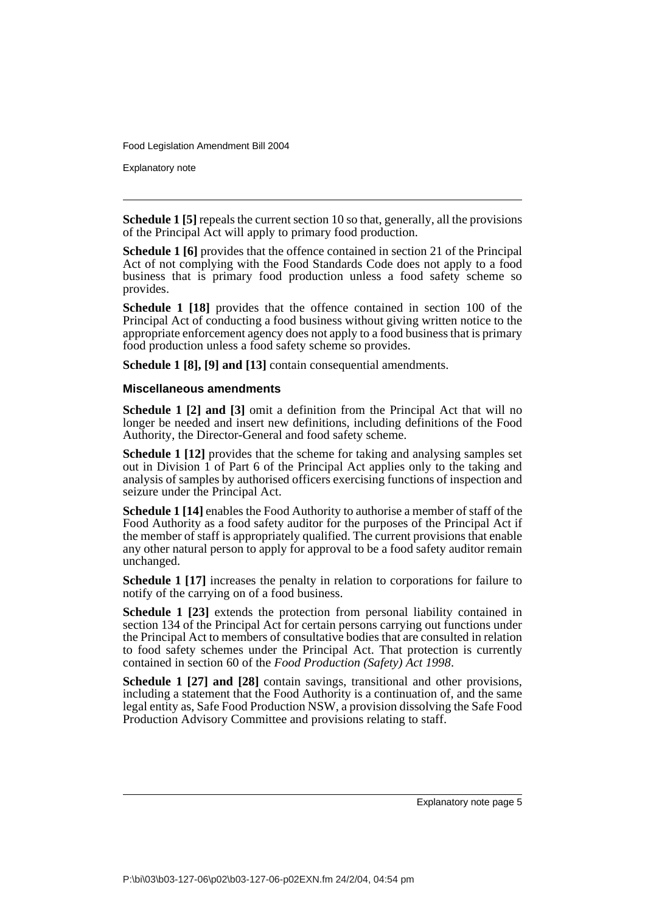Explanatory note

**Schedule 1 [5]** repeals the current section 10 so that, generally, all the provisions of the Principal Act will apply to primary food production.

**Schedule 1 [6]** provides that the offence contained in section 21 of the Principal Act of not complying with the Food Standards Code does not apply to a food business that is primary food production unless a food safety scheme so provides.

**Schedule 1 [18]** provides that the offence contained in section 100 of the Principal Act of conducting a food business without giving written notice to the appropriate enforcement agency does not apply to a food business that is primary food production unless a food safety scheme so provides.

**Schedule 1 [8], [9] and [13]** contain consequential amendments.

### **Miscellaneous amendments**

**Schedule 1 [2] and [3]** omit a definition from the Principal Act that will no longer be needed and insert new definitions, including definitions of the Food Authority, the Director-General and food safety scheme.

**Schedule 1 [12]** provides that the scheme for taking and analysing samples set out in Division 1 of Part 6 of the Principal Act applies only to the taking and analysis of samples by authorised officers exercising functions of inspection and seizure under the Principal Act.

**Schedule 1 [14]** enables the Food Authority to authorise a member of staff of the Food Authority as a food safety auditor for the purposes of the Principal Act if the member of staff is appropriately qualified. The current provisions that enable any other natural person to apply for approval to be a food safety auditor remain unchanged.

**Schedule 1 [17]** increases the penalty in relation to corporations for failure to notify of the carrying on of a food business.

**Schedule 1 [23]** extends the protection from personal liability contained in section 134 of the Principal Act for certain persons carrying out functions under the Principal Act to members of consultative bodies that are consulted in relation to food safety schemes under the Principal Act. That protection is currently contained in section 60 of the *Food Production (Safety) Act 1998*.

**Schedule 1 [27] and [28]** contain savings, transitional and other provisions, including a statement that the Food Authority is a continuation of, and the same legal entity as, Safe Food Production NSW, a provision dissolving the Safe Food Production Advisory Committee and provisions relating to staff.

Explanatory note page 5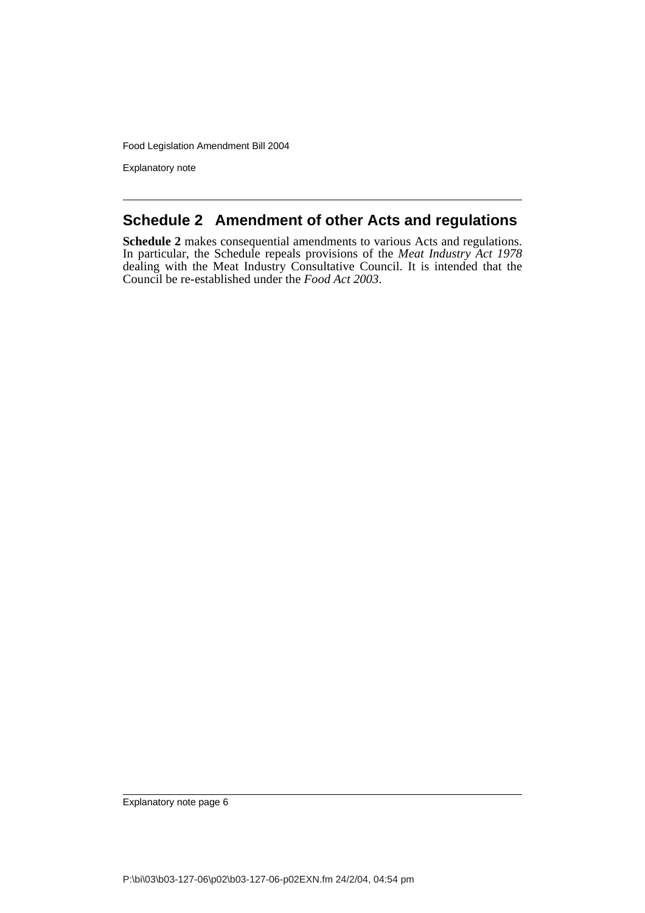Explanatory note

## **Schedule 2 Amendment of other Acts and regulations**

**Schedule 2** makes consequential amendments to various Acts and regulations. In particular, the Schedule repeals provisions of the *Meat Industry Act 1978* dealing with the Meat Industry Consultative Council. It is intended that the Council be re-established under the *Food Act 2003*.

Explanatory note page 6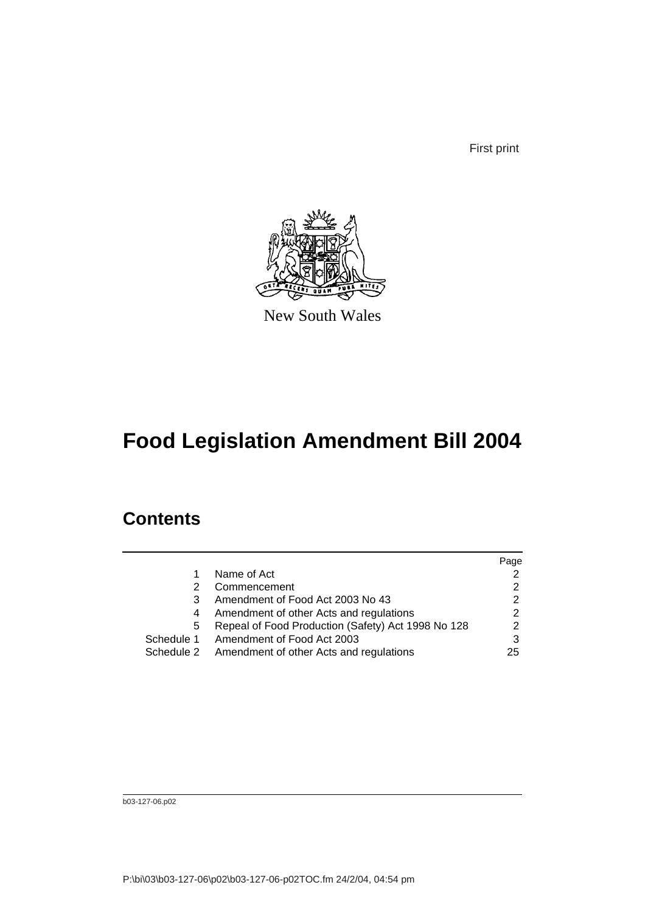First print



New South Wales

# **Food Legislation Amendment Bill 2004**

# **Contents**

|            |                                                    | Page |
|------------|----------------------------------------------------|------|
|            | Name of Act                                        |      |
|            | Commencement                                       |      |
| 3          | Amendment of Food Act 2003 No 43                   | 2    |
| 4          | Amendment of other Acts and regulations            | 2    |
| 5          | Repeal of Food Production (Safety) Act 1998 No 128 |      |
| Schedule 1 | Amendment of Food Act 2003                         | 3    |
|            | Schedule 2 Amendment of other Acts and regulations | 25   |

b03-127-06.p02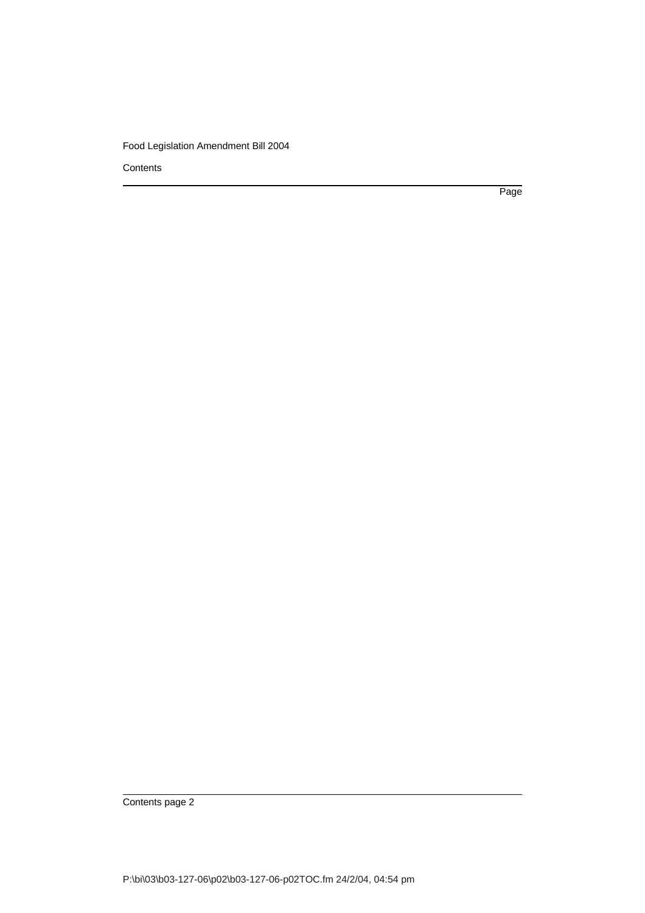**Contents** 

Page

Contents page 2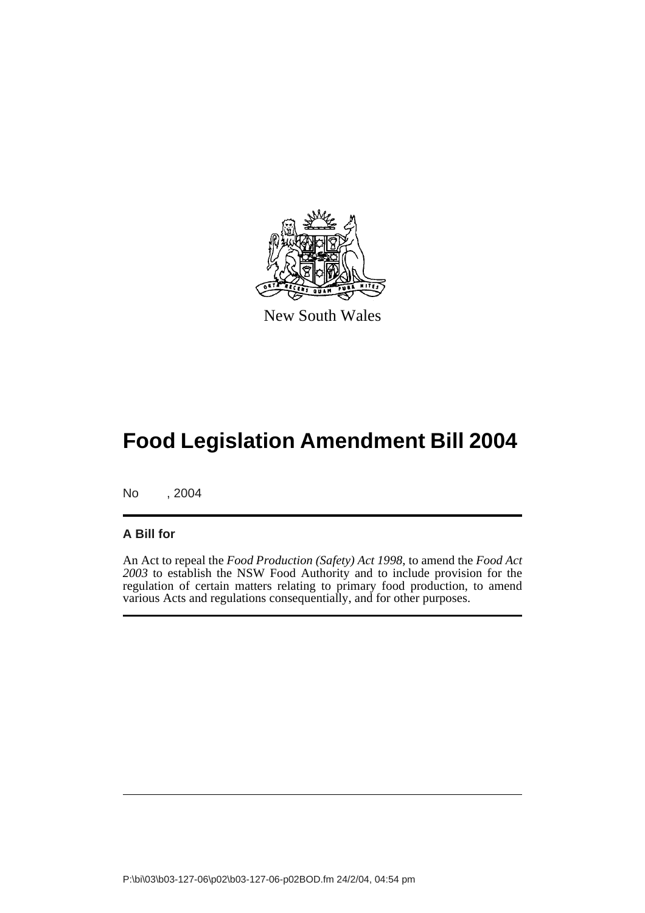

New South Wales

# **Food Legislation Amendment Bill 2004**

No , 2004

### **A Bill for**

An Act to repeal the *Food Production (Safety) Act 1998*, to amend the *Food Act 2003* to establish the NSW Food Authority and to include provision for the regulation of certain matters relating to primary food production, to amend various Acts and regulations consequentially, and for other purposes.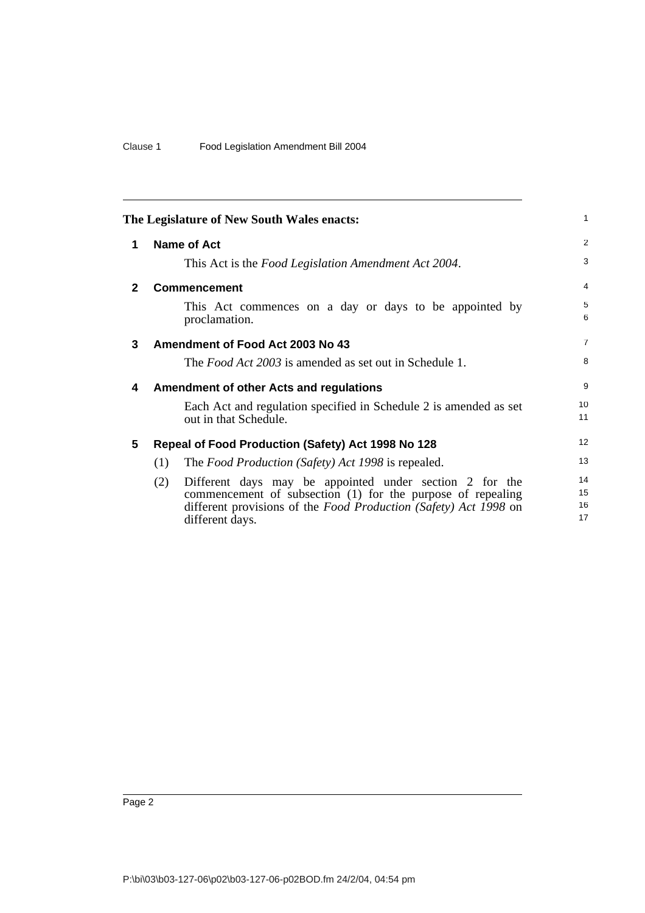|                       | The Legislature of New South Wales enacts:                                                 | 1              |
|-----------------------|--------------------------------------------------------------------------------------------|----------------|
|                       |                                                                                            |                |
| 1                     | <b>Name of Act</b>                                                                         | 2              |
|                       | This Act is the Food Legislation Amendment Act 2004.                                       | 3              |
| $\mathbf{2}^{\prime}$ | <b>Commencement</b>                                                                        | 4              |
|                       | This Act commences on a day or days to be appointed by<br>proclamation.                    | 5<br>6         |
| 3                     | Amendment of Food Act 2003 No 43                                                           | $\overline{7}$ |
|                       | The <i>Food Act 2003</i> is amended as set out in Schedule 1.                              | 8              |
| 4                     | <b>Amendment of other Acts and regulations</b>                                             | 9              |
|                       | Each Act and regulation specified in Schedule 2 is amended as set<br>out in that Schedule. | 10<br>11       |
| 5                     | Repeal of Food Production (Safety) Act 1998 No 128                                         | 12             |
|                       | The Food Production (Safety) Act 1998 is repealed.<br>(1)                                  | 13             |
|                       | Different days may be appointed under section 2 for the<br>(2)                             | 14             |
|                       | commencement of subsection (1) for the purpose of repealing                                | 15<br>16       |
|                       | different provisions of the Food Production (Safety) Act 1998 on<br>different days.        | 17             |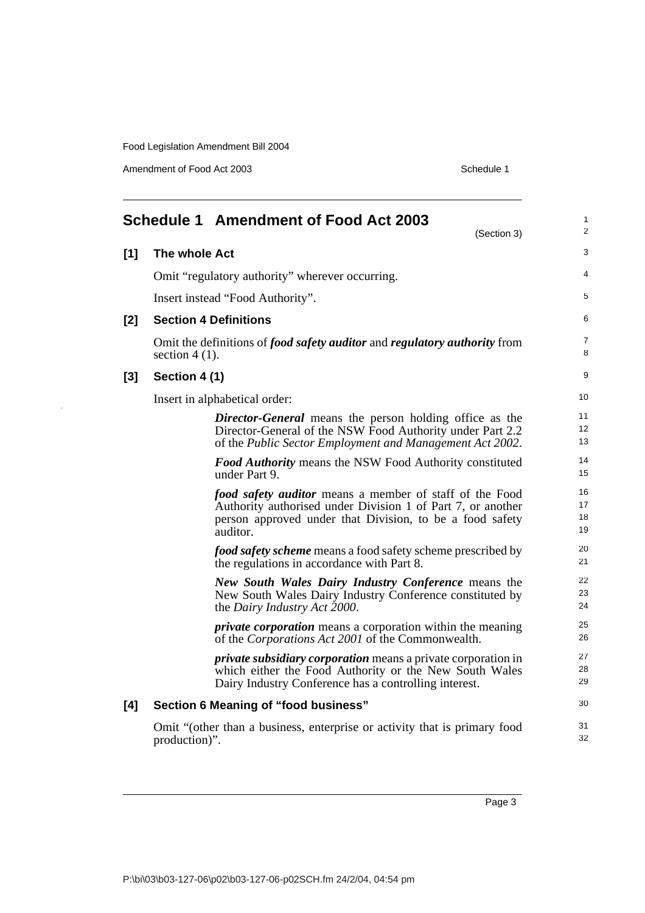Amendment of Food Act 2003 Schedule 1

 $\overline{\phantom{a}}$ 

|       |                  | Schedule 1 Amendment of Food Act 2003<br>(Section 3)                                                                                                                                                  | 1<br>2               |
|-------|------------------|-------------------------------------------------------------------------------------------------------------------------------------------------------------------------------------------------------|----------------------|
| [1]   | The whole Act    |                                                                                                                                                                                                       | 3                    |
|       |                  | Omit "regulatory authority" wherever occurring.                                                                                                                                                       | 4                    |
|       |                  | Insert instead "Food Authority".                                                                                                                                                                      | 5                    |
| [2]   |                  | <b>Section 4 Definitions</b>                                                                                                                                                                          | 6                    |
|       | section $4(1)$ . | Omit the definitions of <i>food safety auditor</i> and <i>regulatory authority</i> from                                                                                                               | $\overline{7}$<br>8  |
| $[3]$ | Section 4 (1)    |                                                                                                                                                                                                       | 9                    |
|       |                  | Insert in alphabetical order:                                                                                                                                                                         | 10                   |
|       |                  | <b>Director-General</b> means the person holding office as the<br>Director-General of the NSW Food Authority under Part 2.2<br>of the Public Sector Employment and Management Act 2002.               | 11<br>12<br>13       |
|       |                  | <b>Food Authority</b> means the NSW Food Authority constituted<br>under Part 9.                                                                                                                       | 14<br>15             |
|       |                  | <i>food safety auditor</i> means a member of staff of the Food<br>Authority authorised under Division 1 of Part 7, or another<br>person approved under that Division, to be a food safety<br>auditor. | 16<br>17<br>18<br>19 |
|       |                  | <i>food safety scheme</i> means a food safety scheme prescribed by<br>the regulations in accordance with Part 8.                                                                                      | 20<br>21             |
|       |                  | <b>New South Wales Dairy Industry Conference means the</b><br>New South Wales Dairy Industry Conference constituted by<br>the Dairy Industry Act 2000.                                                | 22<br>23<br>24       |
|       |                  | <i>private corporation</i> means a corporation within the meaning<br>of the <i>Corporations Act 2001</i> of the Commonwealth.                                                                         | 25<br>26             |
|       |                  | <i>private subsidiary corporation</i> means a private corporation in<br>which either the Food Authority or the New South Wales<br>Dairy Industry Conference has a controlling interest.               | 27<br>28<br>29       |
| [4]   |                  | <b>Section 6 Meaning of "food business"</b>                                                                                                                                                           | 30                   |
|       | production)".    | Omit "(other than a business, enterprise or activity that is primary food                                                                                                                             | 31<br>32             |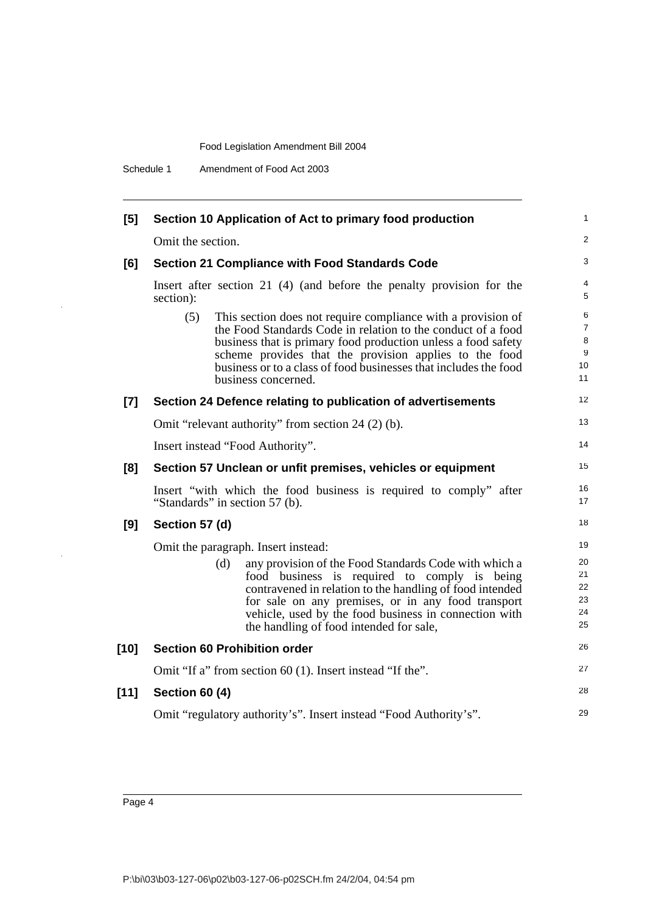| [5]    | Section 10 Application of Act to primary food production                                                                                                                                                                                                                                                                                                  | $\mathbf{1}$                                            |
|--------|-----------------------------------------------------------------------------------------------------------------------------------------------------------------------------------------------------------------------------------------------------------------------------------------------------------------------------------------------------------|---------------------------------------------------------|
|        | Omit the section.                                                                                                                                                                                                                                                                                                                                         | 2                                                       |
| [6]    | <b>Section 21 Compliance with Food Standards Code</b>                                                                                                                                                                                                                                                                                                     | 3                                                       |
|        | Insert after section 21 (4) (and before the penalty provision for the<br>section):                                                                                                                                                                                                                                                                        | 4<br>5                                                  |
|        | This section does not require compliance with a provision of<br>(5)<br>the Food Standards Code in relation to the conduct of a food<br>business that is primary food production unless a food safety<br>scheme provides that the provision applies to the food<br>business or to a class of food businesses that includes the food<br>business concerned. | $6\phantom{1}6$<br>$\overline{7}$<br>8<br>9<br>10<br>11 |
| $[7]$  | Section 24 Defence relating to publication of advertisements                                                                                                                                                                                                                                                                                              | 12                                                      |
|        | Omit "relevant authority" from section 24 (2) (b).                                                                                                                                                                                                                                                                                                        | 13                                                      |
|        | Insert instead "Food Authority".                                                                                                                                                                                                                                                                                                                          | 14                                                      |
| [8]    | Section 57 Unclean or unfit premises, vehicles or equipment                                                                                                                                                                                                                                                                                               | 15                                                      |
|        | Insert "with which the food business is required to comply" after<br>"Standards" in section 57 (b).                                                                                                                                                                                                                                                       | 16<br>17                                                |
| [9]    | Section 57 (d)                                                                                                                                                                                                                                                                                                                                            | 18                                                      |
|        | Omit the paragraph. Insert instead:                                                                                                                                                                                                                                                                                                                       | 19                                                      |
|        | any provision of the Food Standards Code with which a<br>(d)<br>food business is required to comply is being<br>contravened in relation to the handling of food intended<br>for sale on any premises, or in any food transport<br>vehicle, used by the food business in connection with<br>the handling of food intended for sale,                        | 20<br>21<br>22<br>23<br>24<br>25                        |
| $[10]$ | <b>Section 60 Prohibition order</b>                                                                                                                                                                                                                                                                                                                       | 26                                                      |
|        | Omit "If a" from section 60 (1). Insert instead "If the".                                                                                                                                                                                                                                                                                                 | 27                                                      |
| $[11]$ | Section 60 (4)                                                                                                                                                                                                                                                                                                                                            | 28                                                      |
|        | Omit "regulatory authority's". Insert instead "Food Authority's".                                                                                                                                                                                                                                                                                         | 29                                                      |

 $\bar{z}$ 

 $\bar{z}$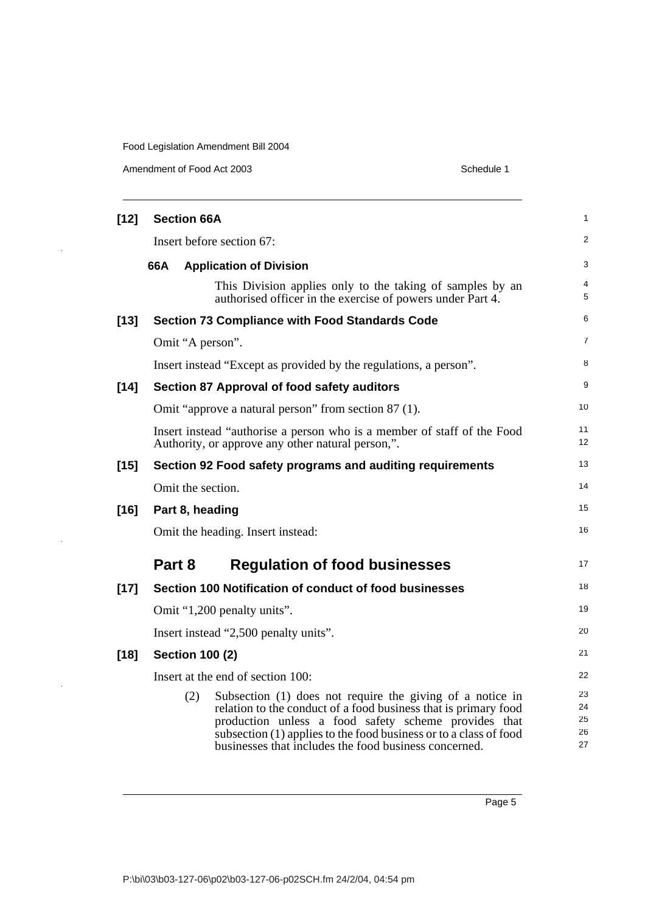Amendment of Food Act 2003 Schedule 1

| $[12]$ |        | <b>Section 66A</b> |                                                                                                                                                                                                                                                                                                                    | 1                          |
|--------|--------|--------------------|--------------------------------------------------------------------------------------------------------------------------------------------------------------------------------------------------------------------------------------------------------------------------------------------------------------------|----------------------------|
|        |        |                    | Insert before section 67:                                                                                                                                                                                                                                                                                          | 2                          |
|        | 66A    |                    | <b>Application of Division</b>                                                                                                                                                                                                                                                                                     | 3                          |
|        |        |                    | This Division applies only to the taking of samples by an<br>authorised officer in the exercise of powers under Part 4.                                                                                                                                                                                            | 4<br>5                     |
| $[13]$ |        |                    | <b>Section 73 Compliance with Food Standards Code</b>                                                                                                                                                                                                                                                              | 6                          |
|        |        |                    | Omit "A person".                                                                                                                                                                                                                                                                                                   | 7                          |
|        |        |                    | Insert instead "Except as provided by the regulations, a person".                                                                                                                                                                                                                                                  | 8                          |
| $[14]$ |        |                    | Section 87 Approval of food safety auditors                                                                                                                                                                                                                                                                        | 9                          |
|        |        |                    | Omit "approve a natural person" from section 87 (1).                                                                                                                                                                                                                                                               | 10                         |
|        |        |                    | Insert instead "authorise a person who is a member of staff of the Food<br>Authority, or approve any other natural person,".                                                                                                                                                                                       | 11<br>12                   |
| $[15]$ |        |                    | Section 92 Food safety programs and auditing requirements                                                                                                                                                                                                                                                          | 13                         |
|        |        |                    | Omit the section.                                                                                                                                                                                                                                                                                                  | 14                         |
| $[16]$ |        |                    | Part 8, heading                                                                                                                                                                                                                                                                                                    | 15                         |
|        |        |                    | Omit the heading. Insert instead:                                                                                                                                                                                                                                                                                  | 16                         |
|        | Part 8 |                    | <b>Regulation of food businesses</b>                                                                                                                                                                                                                                                                               | 17                         |
| $[17]$ |        |                    | Section 100 Notification of conduct of food businesses                                                                                                                                                                                                                                                             | 18                         |
|        |        |                    | Omit "1,200 penalty units".                                                                                                                                                                                                                                                                                        | 19                         |
|        |        |                    | Insert instead "2,500 penalty units".                                                                                                                                                                                                                                                                              | 20                         |
| $[18]$ |        |                    | <b>Section 100 (2)</b>                                                                                                                                                                                                                                                                                             | 21                         |
|        |        |                    | Insert at the end of section 100:                                                                                                                                                                                                                                                                                  | 22                         |
|        |        | (2)                | Subsection (1) does not require the giving of a notice in<br>relation to the conduct of a food business that is primary food<br>production unless a food safety scheme provides that<br>subsection (1) applies to the food business or to a class of food<br>businesses that includes the food business concerned. | 23<br>24<br>25<br>26<br>27 |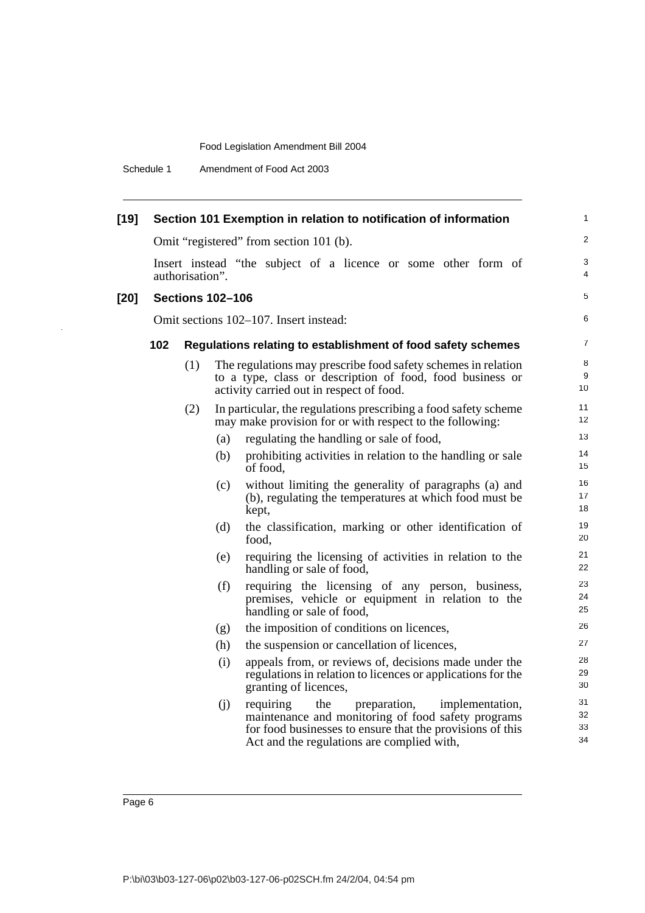Schedule 1 Amendment of Food Act 2003

| $[19]$ |     |                 |                         | Section 101 Exemption in relation to notification of information                                                                                                                                                     | $\mathbf{1}$         |
|--------|-----|-----------------|-------------------------|----------------------------------------------------------------------------------------------------------------------------------------------------------------------------------------------------------------------|----------------------|
|        |     |                 |                         | Omit "registered" from section 101 (b).                                                                                                                                                                              | 2                    |
|        |     | authorisation". |                         | Insert instead "the subject of a licence or some other form of                                                                                                                                                       | 3<br>$\overline{4}$  |
| $[20]$ |     |                 | <b>Sections 102-106</b> |                                                                                                                                                                                                                      | 5                    |
|        |     |                 |                         | Omit sections 102–107. Insert instead:                                                                                                                                                                               | 6                    |
|        | 102 |                 |                         | Regulations relating to establishment of food safety schemes                                                                                                                                                         | $\overline{7}$       |
|        |     | (1)             |                         | The regulations may prescribe food safety schemes in relation<br>to a type, class or description of food, food business or<br>activity carried out in respect of food.                                               | 8<br>9<br>10         |
|        |     | (2)             |                         | In particular, the regulations prescribing a food safety scheme<br>may make provision for or with respect to the following:                                                                                          | 11<br>12             |
|        |     |                 | (a)                     | regulating the handling or sale of food,                                                                                                                                                                             | 13                   |
|        |     |                 | (b)                     | prohibiting activities in relation to the handling or sale<br>of food.                                                                                                                                               | 14<br>15             |
|        |     |                 | (c)                     | without limiting the generality of paragraphs (a) and<br>(b), regulating the temperatures at which food must be<br>kept,                                                                                             | 16<br>17<br>18       |
|        |     |                 | (d)                     | the classification, marking or other identification of<br>food.                                                                                                                                                      | 19<br>20             |
|        |     |                 | (e)                     | requiring the licensing of activities in relation to the<br>handling or sale of food,                                                                                                                                | 21<br>22             |
|        |     |                 | (f)                     | requiring the licensing of any person, business,<br>premises, vehicle or equipment in relation to the<br>handling or sale of food,                                                                                   | 23<br>24<br>25       |
|        |     |                 | (g)                     | the imposition of conditions on licences,                                                                                                                                                                            | 26                   |
|        |     |                 | (h)                     | the suspension or cancellation of licences,                                                                                                                                                                          | 27                   |
|        |     |                 | (i)                     | appeals from, or reviews of, decisions made under the<br>regulations in relation to licences or applications for the<br>granting of licences,                                                                        | 28<br>29<br>30       |
|        |     |                 | (j)                     | the<br>preparation,<br>requiring<br>implementation,<br>maintenance and monitoring of food safety programs<br>for food businesses to ensure that the provisions of this<br>Act and the regulations are complied with, | 31<br>32<br>33<br>34 |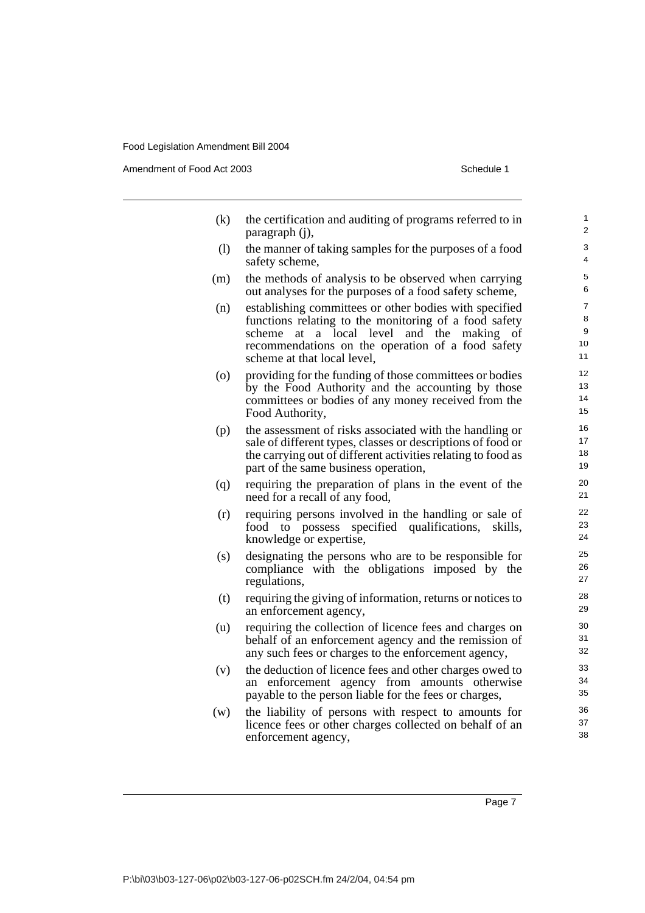Amendment of Food Act 2003 Schedule 1

| (k) | the certification and auditing of programs referred to in<br>paragraph (j),                                                                                                                                                                         | $\mathbf{1}$<br>$\overline{2}$                      |
|-----|-----------------------------------------------------------------------------------------------------------------------------------------------------------------------------------------------------------------------------------------------------|-----------------------------------------------------|
| (1) | the manner of taking samples for the purposes of a food<br>safety scheme,                                                                                                                                                                           | 3<br>$\overline{4}$                                 |
| (m) | the methods of analysis to be observed when carrying<br>out analyses for the purposes of a food safety scheme,                                                                                                                                      | 5<br>6                                              |
| (n) | establishing committees or other bodies with specified<br>functions relating to the monitoring of a food safety<br>at a local level and the making of<br>scheme<br>recommendations on the operation of a food safety<br>scheme at that local level, | $\overline{7}$<br>8<br>$\boldsymbol{9}$<br>10<br>11 |
| (0) | providing for the funding of those committees or bodies<br>by the Food Authority and the accounting by those<br>committees or bodies of any money received from the<br>Food Authority,                                                              | 12<br>13<br>14<br>15                                |
| (p) | the assessment of risks associated with the handling or<br>sale of different types, classes or descriptions of food or<br>the carrying out of different activities relating to food as<br>part of the same business operation,                      | 16<br>17<br>18<br>19                                |
| (q) | requiring the preparation of plans in the event of the<br>need for a recall of any food,                                                                                                                                                            | 20<br>21                                            |
| (r) | requiring persons involved in the handling or sale of<br>food to possess specified qualifications,<br>skills,<br>knowledge or expertise,                                                                                                            | 22<br>23<br>24                                      |
| (s) | designating the persons who are to be responsible for<br>compliance with the obligations imposed by the<br>regulations,                                                                                                                             | 25<br>26<br>27                                      |

- (t) requiring the giving of information, returns or notices to an enforcement agency,
- (u) requiring the collection of licence fees and charges on behalf of an enforcement agency and the remission of any such fees or charges to the enforcement agency,
- (v) the deduction of licence fees and other charges owed to an enforcement agency from amounts otherwise payable to the person liable for the fees or charges,
- (w) the liability of persons with respect to amounts for licence fees or other charges collected on behalf of an enforcement agency,

Page 7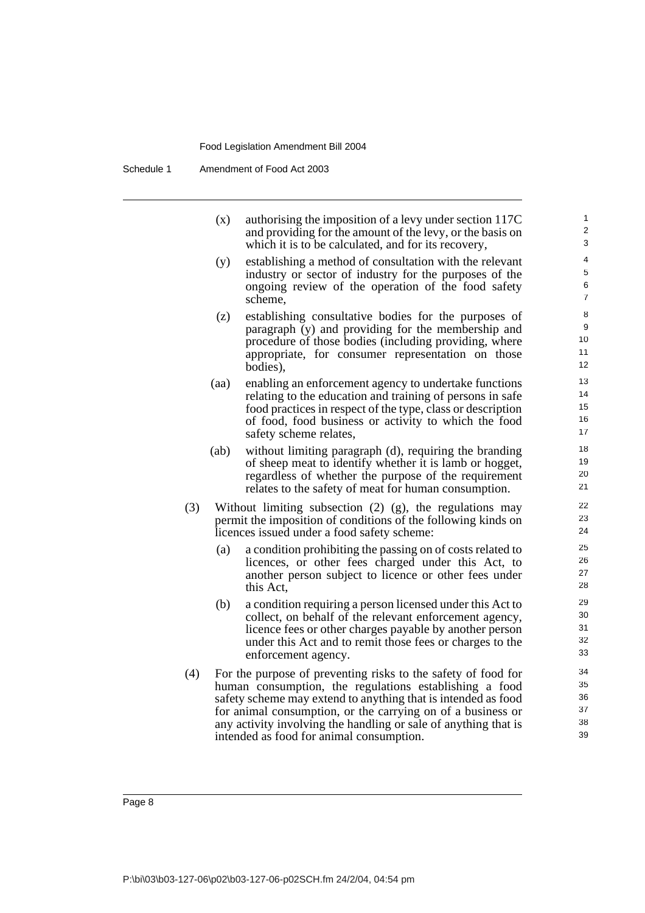| (x) | authorising the imposition of a levy under section 117C<br>and providing for the amount of the levy, or the basis on<br>which it is to be calculated, and for its recovery,        |
|-----|------------------------------------------------------------------------------------------------------------------------------------------------------------------------------------|
| (y) | establishing a method of consultation with the relevant<br>industry or sector of industry for the purposes of the<br>ongoing review of the operation of the food safety<br>scheme, |

- (z) establishing consultative bodies for the purposes of paragraph (y) and providing for the membership and procedure of those bodies (including providing, where appropriate, for consumer representation on those bodies),
- (aa) enabling an enforcement agency to undertake functions relating to the education and training of persons in safe food practices in respect of the type, class or description of food, food business or activity to which the food safety scheme relates,
- (ab) without limiting paragraph (d), requiring the branding of sheep meat to identify whether it is lamb or hogget, regardless of whether the purpose of the requirement relates to the safety of meat for human consumption.
- (3) Without limiting subsection (2) (g), the regulations may permit the imposition of conditions of the following kinds on licences issued under a food safety scheme:
	- (a) a condition prohibiting the passing on of costs related to licences, or other fees charged under this Act, to another person subject to licence or other fees under this Act,
	- (b) a condition requiring a person licensed under this Act to collect, on behalf of the relevant enforcement agency, licence fees or other charges payable by another person under this Act and to remit those fees or charges to the enforcement agency.
- (4) For the purpose of preventing risks to the safety of food for human consumption, the regulations establishing a food safety scheme may extend to anything that is intended as food for animal consumption, or the carrying on of a business or any activity involving the handling or sale of anything that is intended as food for animal consumption.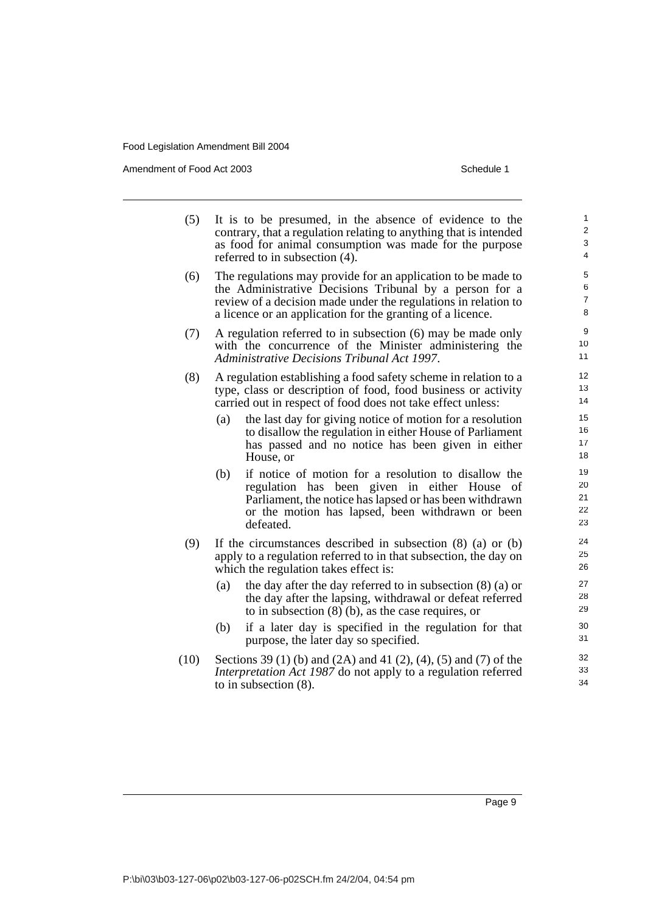Amendment of Food Act 2003 Schedule 1

| (5)  |                                                                                                                                                                                                                                                         | It is to be presumed, in the absence of evidence to the<br>contrary, that a regulation relating to anything that is intended<br>as food for animal consumption was made for the purpose<br>referred to in subsection (4).           | $\mathbf{1}$<br>$\overline{2}$<br>3<br>$\overline{4}$ |
|------|---------------------------------------------------------------------------------------------------------------------------------------------------------------------------------------------------------------------------------------------------------|-------------------------------------------------------------------------------------------------------------------------------------------------------------------------------------------------------------------------------------|-------------------------------------------------------|
| (6)  | The regulations may provide for an application to be made to<br>the Administrative Decisions Tribunal by a person for a<br>review of a decision made under the regulations in relation to<br>a licence or an application for the granting of a licence. |                                                                                                                                                                                                                                     |                                                       |
| (7)  | A regulation referred to in subsection (6) may be made only<br>with the concurrence of the Minister administering the<br>Administrative Decisions Tribunal Act 1997.                                                                                    |                                                                                                                                                                                                                                     |                                                       |
| (8)  |                                                                                                                                                                                                                                                         | A regulation establishing a food safety scheme in relation to a<br>type, class or description of food, food business or activity<br>carried out in respect of food does not take effect unless:                                     | 12<br>13<br>14                                        |
|      | (a)                                                                                                                                                                                                                                                     | the last day for giving notice of motion for a resolution<br>to disallow the regulation in either House of Parliament<br>has passed and no notice has been given in either<br>House, or                                             | 15<br>16<br>17<br>18                                  |
|      | (b)                                                                                                                                                                                                                                                     | if notice of motion for a resolution to disallow the<br>regulation has been given in either House<br>of<br>Parliament, the notice has lapsed or has been withdrawn<br>or the motion has lapsed, been withdrawn or been<br>defeated. | 19<br>20<br>21<br>22<br>23                            |
| (9)  |                                                                                                                                                                                                                                                         | If the circumstances described in subsection $(8)$ $(a)$ or $(b)$<br>apply to a regulation referred to in that subsection, the day on<br>which the regulation takes effect is:                                                      | 24<br>25<br>26                                        |
|      | (a)                                                                                                                                                                                                                                                     | the day after the day referred to in subsection $(8)$ (a) or<br>the day after the lapsing, withdrawal or defeat referred<br>to in subsection $(8)$ (b), as the case requires, or                                                    | 27<br>28<br>29                                        |
|      | (b)                                                                                                                                                                                                                                                     | if a later day is specified in the regulation for that<br>purpose, the later day so specified.                                                                                                                                      | 30<br>31                                              |
| (10) |                                                                                                                                                                                                                                                         | Sections 39 (1) (b) and (2A) and 41 (2), (4), (5) and (7) of the<br><i>Interpretation Act 1987</i> do not apply to a regulation referred<br>to in subsection $(8)$ .                                                                | 32<br>33<br>34                                        |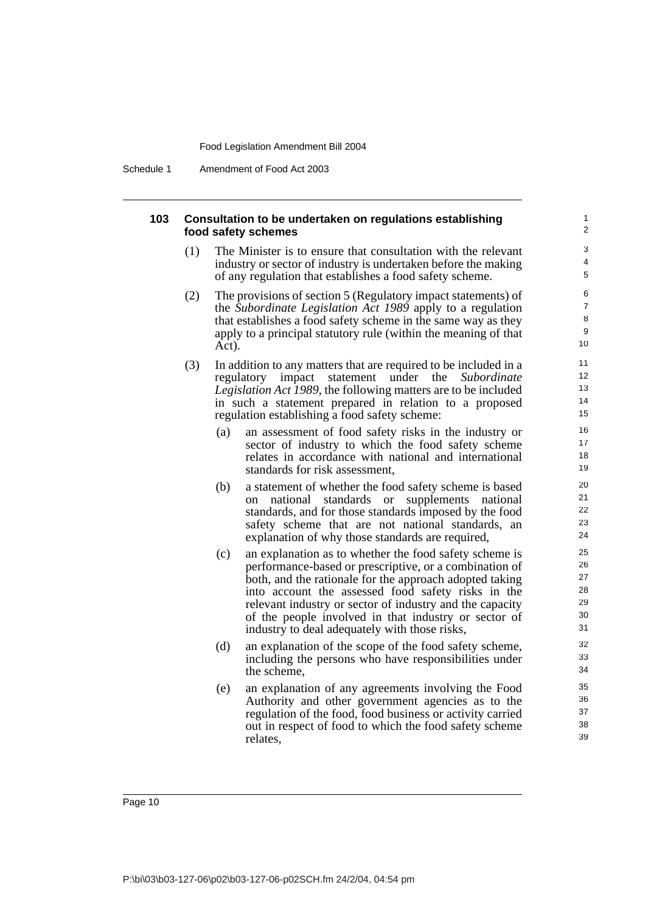Schedule 1 Amendment of Food Act 2003

#### **103 Consultation to be undertaken on regulations establishing food safety schemes**

(1) The Minister is to ensure that consultation with the relevant industry or sector of industry is undertaken before the making of any regulation that establishes a food safety scheme.

- (2) The provisions of section 5 (Regulatory impact statements) of the *Subordinate Legislation Act 1989* apply to a regulation that establishes a food safety scheme in the same way as they apply to a principal statutory rule (within the meaning of that Act).
- (3) In addition to any matters that are required to be included in a regulatory impact statement under the *Subordinate Legislation Act 1989*, the following matters are to be included in such a statement prepared in relation to a proposed regulation establishing a food safety scheme:
	- (a) an assessment of food safety risks in the industry or sector of industry to which the food safety scheme relates in accordance with national and international standards for risk assessment,
	- (b) a statement of whether the food safety scheme is based on national standards or supplements national standards, and for those standards imposed by the food safety scheme that are not national standards, an explanation of why those standards are required,
	- (c) an explanation as to whether the food safety scheme is performance-based or prescriptive, or a combination of both, and the rationale for the approach adopted taking into account the assessed food safety risks in the relevant industry or sector of industry and the capacity of the people involved in that industry or sector of industry to deal adequately with those risks,
	- (d) an explanation of the scope of the food safety scheme, including the persons who have responsibilities under the scheme,
	- (e) an explanation of any agreements involving the Food Authority and other government agencies as to the regulation of the food, food business or activity carried out in respect of food to which the food safety scheme relates,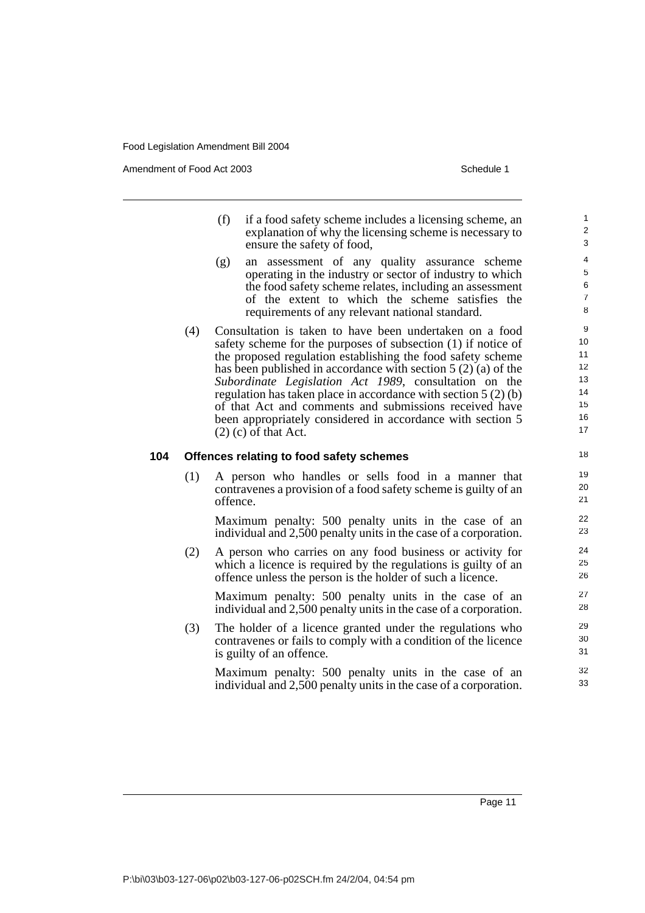Amendment of Food Act 2003 **Schedule 1** and the state of the Schedule 1

- (f) if a food safety scheme includes a licensing scheme, an explanation of why the licensing scheme is necessary to ensure the safety of food,
- (g) an assessment of any quality assurance scheme operating in the industry or sector of industry to which the food safety scheme relates, including an assessment of the extent to which the scheme satisfies the requirements of any relevant national standard.
- (4) Consultation is taken to have been undertaken on a food safety scheme for the purposes of subsection (1) if notice of the proposed regulation establishing the food safety scheme has been published in accordance with section 5 (2) (a) of the *Subordinate Legislation Act 1989*, consultation on the regulation has taken place in accordance with section 5 (2) (b) of that Act and comments and submissions received have been appropriately considered in accordance with section 5  $(2)$  (c) of that Act.

#### **104 Offences relating to food safety schemes**

(1) A person who handles or sells food in a manner that contravenes a provision of a food safety scheme is guilty of an offence.

Maximum penalty: 500 penalty units in the case of an individual and 2,500 penalty units in the case of a corporation.

(2) A person who carries on any food business or activity for which a licence is required by the regulations is guilty of an offence unless the person is the holder of such a licence.

Maximum penalty: 500 penalty units in the case of an individual and 2,500 penalty units in the case of a corporation.

(3) The holder of a licence granted under the regulations who contravenes or fails to comply with a condition of the licence is guilty of an offence.

Maximum penalty: 500 penalty units in the case of an individual and 2,500 penalty units in the case of a corporation.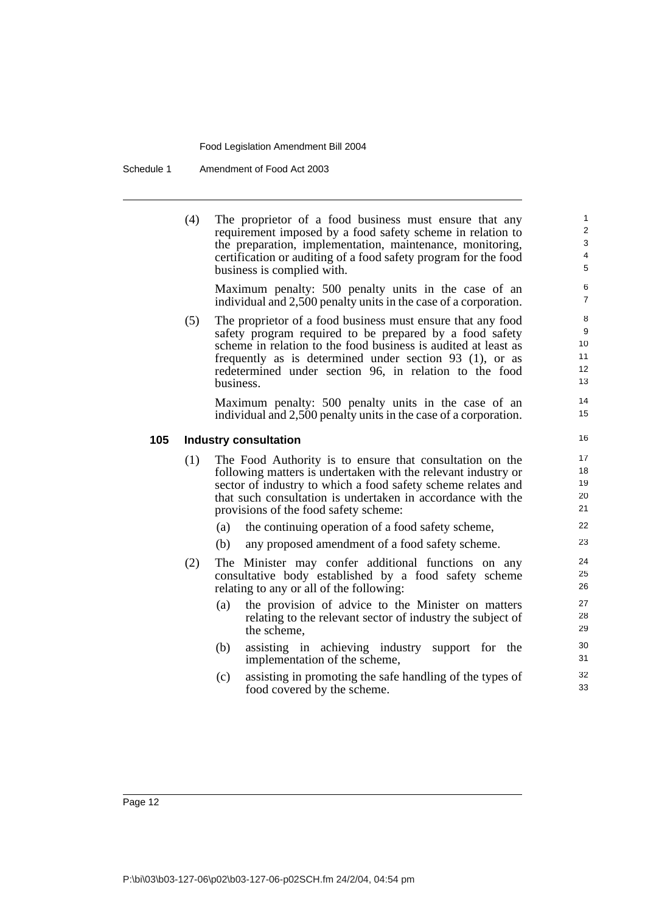Schedule 1 Amendment of Food Act 2003

(4) The proprietor of a food business must ensure that any requirement imposed by a food safety scheme in relation to the preparation, implementation, maintenance, monitoring, certification or auditing of a food safety program for the food business is complied with.

Maximum penalty: 500 penalty units in the case of an individual and 2,500 penalty units in the case of a corporation.

(5) The proprietor of a food business must ensure that any food safety program required to be prepared by a food safety scheme in relation to the food business is audited at least as frequently as is determined under section 93 (1), or as redetermined under section 96, in relation to the food business.

Maximum penalty: 500 penalty units in the case of an individual and 2,500 penalty units in the case of a corporation.

### **105 Industry consultation**

- (1) The Food Authority is to ensure that consultation on the following matters is undertaken with the relevant industry or sector of industry to which a food safety scheme relates and that such consultation is undertaken in accordance with the provisions of the food safety scheme:
	- (a) the continuing operation of a food safety scheme,
	- (b) any proposed amendment of a food safety scheme.
- (2) The Minister may confer additional functions on any consultative body established by a food safety scheme relating to any or all of the following:
	- (a) the provision of advice to the Minister on matters relating to the relevant sector of industry the subject of the scheme,
	- (b) assisting in achieving industry support for the implementation of the scheme,
	- (c) assisting in promoting the safe handling of the types of food covered by the scheme.

P:\bi\03\b03-127-06\p02\b03-127-06-p02SCH.fm 24/2/04, 04:54 pm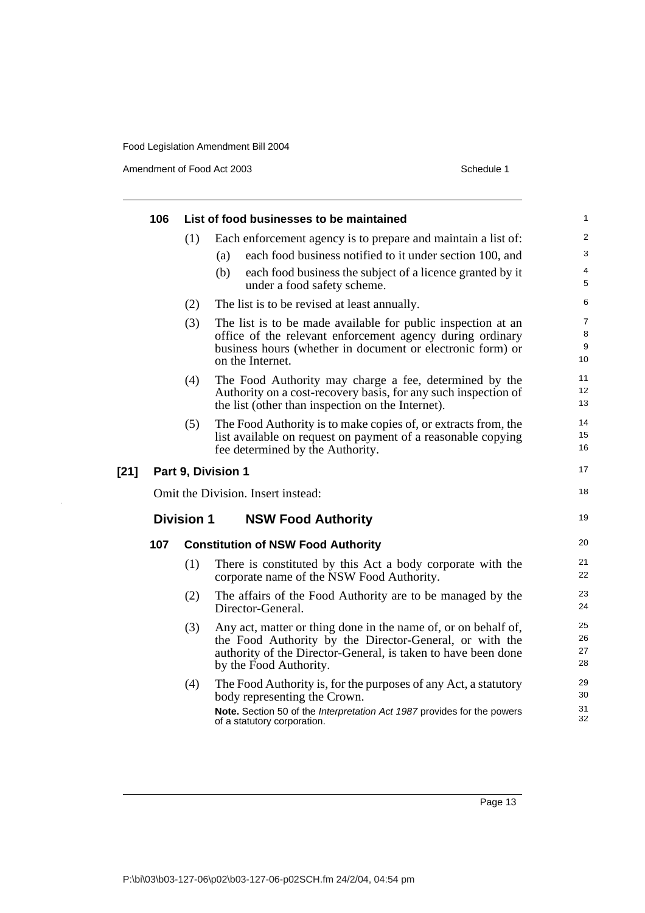Amendment of Food Act 2003 Schedule 1

 $\ddot{\phantom{a}}$ 

|        | 106 |                   | List of food businesses to be maintained                                                                                                                                                                             | 1                    |
|--------|-----|-------------------|----------------------------------------------------------------------------------------------------------------------------------------------------------------------------------------------------------------------|----------------------|
|        |     | (1)               | Each enforcement agency is to prepare and maintain a list of:                                                                                                                                                        | $\overline{2}$       |
|        |     |                   | each food business notified to it under section 100, and<br>(a)                                                                                                                                                      | 3                    |
|        |     |                   | (b)<br>each food business the subject of a licence granted by it<br>under a food safety scheme.                                                                                                                      | 4<br>5               |
|        |     | (2)               | The list is to be revised at least annually.                                                                                                                                                                         | 6                    |
|        |     | (3)               | The list is to be made available for public inspection at an<br>office of the relevant enforcement agency during ordinary<br>business hours (whether in document or electronic form) or<br>on the Internet.          | 7<br>8<br>9<br>10    |
|        |     | (4)               | The Food Authority may charge a fee, determined by the<br>Authority on a cost-recovery basis, for any such inspection of<br>the list (other than inspection on the Internet).                                        | 11<br>12<br>13       |
|        |     | (5)               | The Food Authority is to make copies of, or extracts from, the<br>list available on request on payment of a reasonable copying<br>fee determined by the Authority.                                                   | 14<br>15<br>16       |
| $[21]$ |     |                   | Part 9, Division 1                                                                                                                                                                                                   | 17                   |
|        |     |                   | Omit the Division. Insert instead:                                                                                                                                                                                   | 18                   |
|        |     | <b>Division 1</b> | <b>NSW Food Authority</b>                                                                                                                                                                                            | 19                   |
|        | 107 |                   | <b>Constitution of NSW Food Authority</b>                                                                                                                                                                            | 20                   |
|        |     | (1)               | There is constituted by this Act a body corporate with the<br>corporate name of the NSW Food Authority.                                                                                                              | 21<br>22             |
|        |     | (2)               | The affairs of the Food Authority are to be managed by the<br>Director-General.                                                                                                                                      | 23<br>24             |
|        |     | (3)               | Any act, matter or thing done in the name of, or on behalf of,<br>the Food Authority by the Director-General, or with the<br>authority of the Director-General, is taken to have been done<br>by the Food Authority. | 25<br>26<br>27<br>28 |
|        |     | (4)               | The Food Authority is, for the purposes of any Act, a statutory<br>body representing the Crown.<br>Note. Section 50 of the Interpretation Act 1987 provides for the powers<br>of a statutory corporation.            | 29<br>30<br>31<br>32 |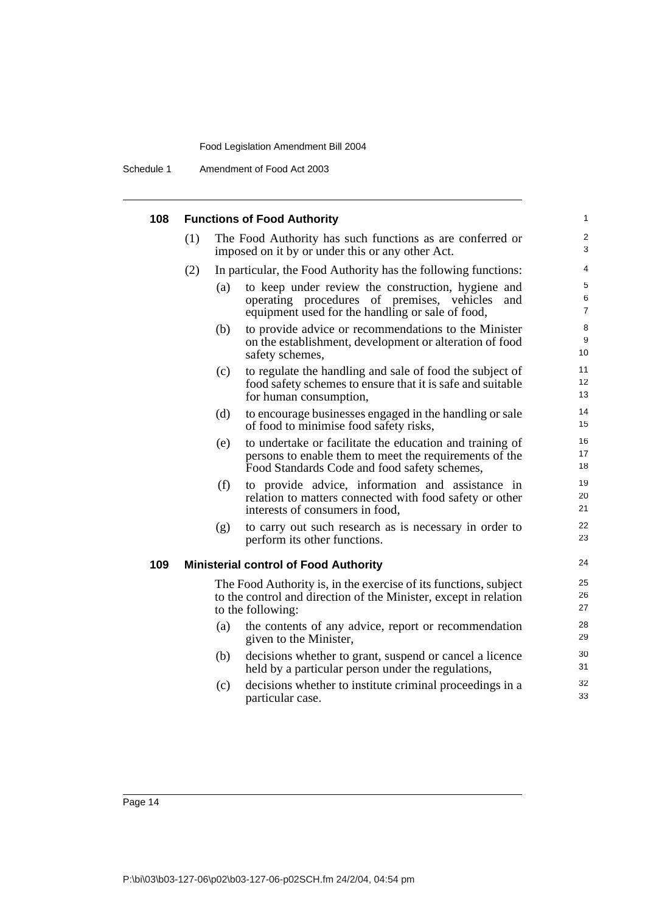Schedule 1 Amendment of Food Act 2003

| 108 Functions of Food Authority |
|---------------------------------|
|                                 |

|     | (1) |     | The Food Authority has such functions as are conferred or<br>imposed on it by or under this or any other Act.                                                      | $\overline{2}$<br>3      |
|-----|-----|-----|--------------------------------------------------------------------------------------------------------------------------------------------------------------------|--------------------------|
|     | (2) |     | In particular, the Food Authority has the following functions:                                                                                                     | 4                        |
|     |     | (a) | to keep under review the construction, hygiene and<br>operating procedures of premises, vehicles<br>and<br>equipment used for the handling or sale of food,        | 5<br>6<br>$\overline{7}$ |
|     |     | (b) | to provide advice or recommendations to the Minister<br>on the establishment, development or alteration of food<br>safety schemes,                                 | 8<br>9<br>10             |
|     |     | (c) | to regulate the handling and sale of food the subject of<br>food safety schemes to ensure that it is safe and suitable<br>for human consumption,                   | 11<br>12<br>13           |
|     |     | (d) | to encourage businesses engaged in the handling or sale<br>of food to minimise food safety risks,                                                                  | 14<br>15                 |
|     |     | (e) | to undertake or facilitate the education and training of<br>persons to enable them to meet the requirements of the<br>Food Standards Code and food safety schemes, | 16<br>17<br>18           |
|     |     | (f) | to provide advice, information and assistance in<br>relation to matters connected with food safety or other<br>interests of consumers in food,                     | 19<br>20<br>21           |
|     |     | (g) | to carry out such research as is necessary in order to<br>perform its other functions.                                                                             | 22<br>23                 |
| 109 |     |     | <b>Ministerial control of Food Authority</b>                                                                                                                       | 24                       |
|     |     |     | The Food Authority is, in the exercise of its functions, subject<br>to the control and direction of the Minister, except in relation<br>to the following:          | 25<br>26<br>27           |
|     |     | (a) | the contents of any advice, report or recommendation<br>given to the Minister,                                                                                     | 28<br>29                 |
|     |     | (b) | decisions whether to grant, suspend or cancel a licence<br>held by a particular person under the regulations,                                                      | 30<br>31                 |
|     |     | (c) | decisions whether to institute criminal proceedings in a<br>particular case.                                                                                       | 32<br>33                 |

1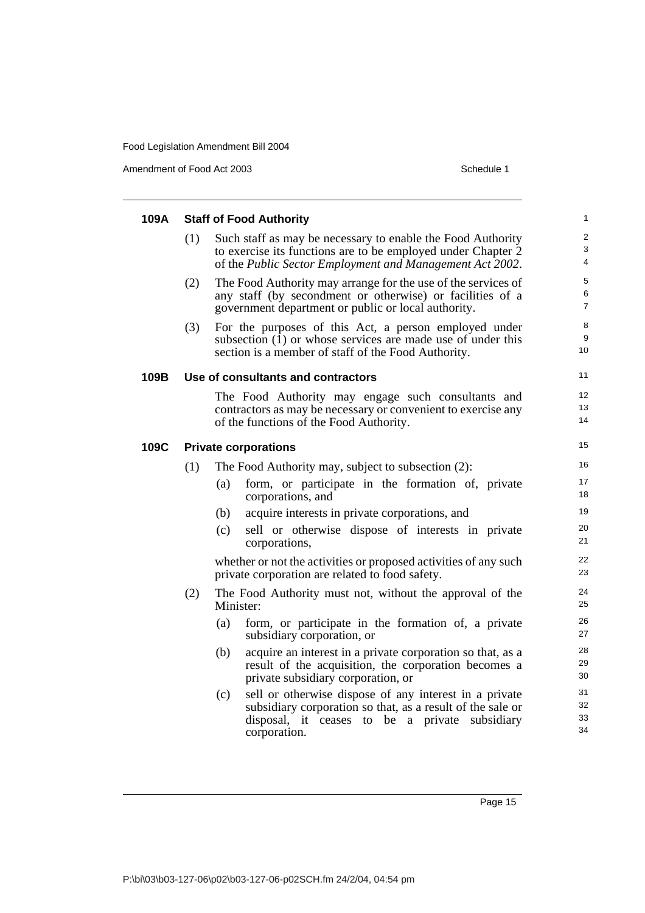Amendment of Food Act 2003 Schedule 1

|     |                                                                                                                                                                                                  | 1                                                                                                   |
|-----|--------------------------------------------------------------------------------------------------------------------------------------------------------------------------------------------------|-----------------------------------------------------------------------------------------------------|
| (1) | Such staff as may be necessary to enable the Food Authority<br>to exercise its functions are to be employed under Chapter 2<br>of the Public Sector Employment and Management Act 2002.          | $\overline{2}$<br>3<br>$\overline{4}$                                                               |
| (2) | The Food Authority may arrange for the use of the services of<br>any staff (by secondment or otherwise) or facilities of a<br>government department or public or local authority.                | 5<br>6<br>$\overline{7}$                                                                            |
| (3) | For the purposes of this Act, a person employed under<br>subsection (1) or whose services are made use of under this<br>section is a member of staff of the Food Authority.                      | 8<br>9<br>10                                                                                        |
|     |                                                                                                                                                                                                  | 11                                                                                                  |
|     | The Food Authority may engage such consultants and<br>contractors as may be necessary or convenient to exercise any<br>of the functions of the Food Authority.                                   | 12<br>13<br>14                                                                                      |
|     |                                                                                                                                                                                                  | 15                                                                                                  |
| (1) | The Food Authority may, subject to subsection (2):                                                                                                                                               | 16                                                                                                  |
|     | form, or participate in the formation of, private<br>(a)<br>corporations, and                                                                                                                    | 17<br>18                                                                                            |
|     | acquire interests in private corporations, and<br>(b)                                                                                                                                            | 19                                                                                                  |
|     | sell or otherwise dispose of interests in private<br>(c)<br>corporations,                                                                                                                        | 20<br>21                                                                                            |
|     | whether or not the activities or proposed activities of any such<br>private corporation are related to food safety.                                                                              | 22<br>23                                                                                            |
| (2) | The Food Authority must not, without the approval of the<br>Minister:                                                                                                                            | 24<br>25                                                                                            |
|     | form, or participate in the formation of, a private<br>(a)<br>subsidiary corporation, or                                                                                                         | 26<br>27                                                                                            |
|     | acquire an interest in a private corporation so that, as a<br>(b)<br>result of the acquisition, the corporation becomes a<br>private subsidiary corporation, or                                  | 28<br>29<br>30                                                                                      |
|     | sell or otherwise dispose of any interest in a private<br>(c)<br>subsidiary corporation so that, as a result of the sale or<br>disposal, it ceases to be a private<br>subsidiary<br>corporation. | 31<br>32<br>33<br>34                                                                                |
|     |                                                                                                                                                                                                  | <b>Staff of Food Authority</b><br>Use of consultants and contractors<br><b>Private corporations</b> |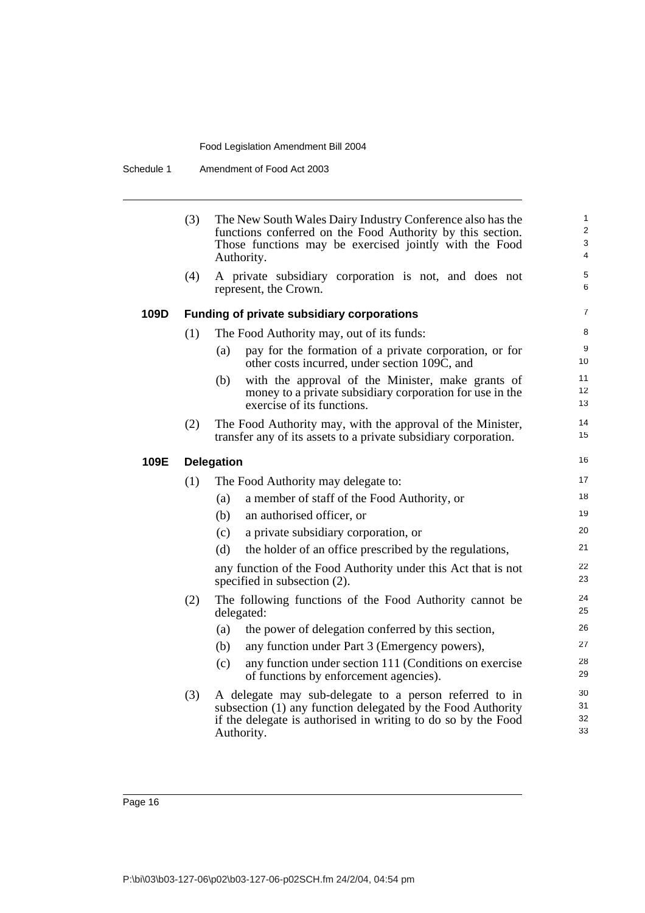Schedule 1 Amendment of Food Act 2003

|      | (3) | The New South Wales Dairy Industry Conference also has the<br>functions conferred on the Food Authority by this section.<br>Those functions may be exercised jointly with the Food<br>Authority.     | 1<br>2<br>3<br>$\overline{4}$ |
|------|-----|------------------------------------------------------------------------------------------------------------------------------------------------------------------------------------------------------|-------------------------------|
|      | (4) | A private subsidiary corporation is not, and does not<br>represent, the Crown.                                                                                                                       | 5<br>6                        |
| 109D |     | <b>Funding of private subsidiary corporations</b>                                                                                                                                                    | 7                             |
|      | (1) | The Food Authority may, out of its funds:                                                                                                                                                            | 8                             |
|      |     | pay for the formation of a private corporation, or for<br>(a)<br>other costs incurred, under section 109C, and                                                                                       | 9<br>10                       |
|      |     | with the approval of the Minister, make grants of<br>(b)<br>money to a private subsidiary corporation for use in the<br>exercise of its functions.                                                   | 11<br>12<br>13                |
|      | (2) | The Food Authority may, with the approval of the Minister,<br>transfer any of its assets to a private subsidiary corporation.                                                                        | 14<br>15                      |
| 109E |     | <b>Delegation</b>                                                                                                                                                                                    | 16                            |
|      | (1) | The Food Authority may delegate to:                                                                                                                                                                  | 17                            |
|      |     | a member of staff of the Food Authority, or<br>(a)                                                                                                                                                   | 18                            |
|      |     | an authorised officer, or<br>(b)                                                                                                                                                                     | 19                            |
|      |     | (c)<br>a private subsidiary corporation, or                                                                                                                                                          | 20                            |
|      |     | (d)<br>the holder of an office prescribed by the regulations,                                                                                                                                        | 21                            |
|      |     | any function of the Food Authority under this Act that is not<br>specified in subsection (2).                                                                                                        | 22<br>23                      |
|      | (2) | The following functions of the Food Authority cannot be<br>delegated:                                                                                                                                | 24<br>25                      |
|      |     | the power of delegation conferred by this section,<br>(a)                                                                                                                                            | 26                            |
|      |     | any function under Part 3 (Emergency powers),<br>(b)                                                                                                                                                 | 27                            |
|      |     | any function under section 111 (Conditions on exercise<br>(c)<br>of functions by enforcement agencies).                                                                                              | 28<br>29                      |
|      | (3) | A delegate may sub-delegate to a person referred to in<br>subsection (1) any function delegated by the Food Authority<br>if the delegate is authorised in writing to do so by the Food<br>Authority. | 30<br>31<br>32<br>33          |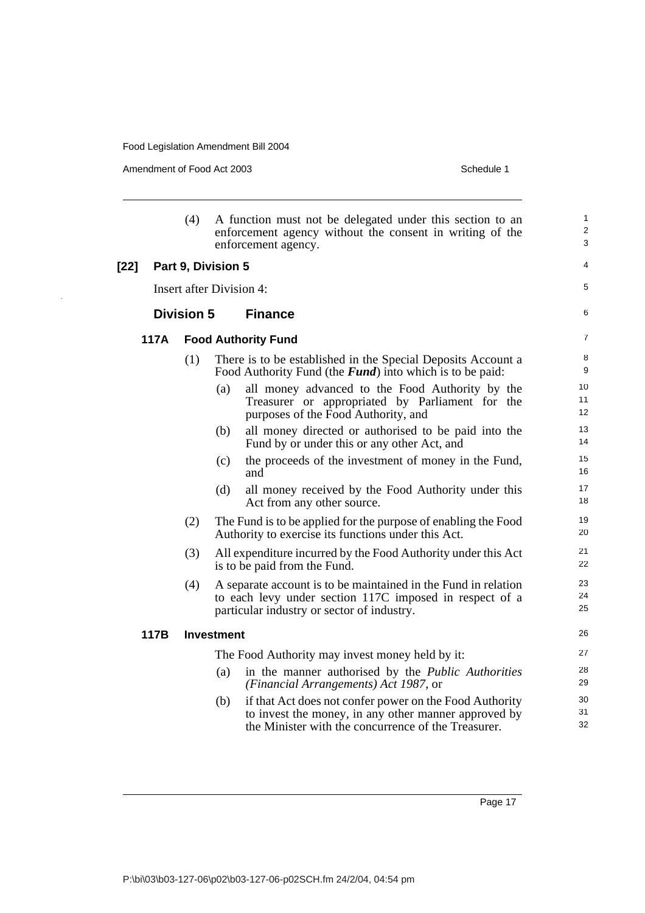Amendment of Food Act 2003 Schedule 1

|        | (4)               | A function must not be delegated under this section to an<br>enforcement agency without the consent in writing of the<br>enforcement agency.                                  | 1<br>$\overline{c}$<br>3 |
|--------|-------------------|-------------------------------------------------------------------------------------------------------------------------------------------------------------------------------|--------------------------|
| $[22]$ |                   | Part 9, Division 5                                                                                                                                                            | 4                        |
|        |                   | <b>Insert after Division 4:</b>                                                                                                                                               | 5                        |
|        | <b>Division 5</b> | <b>Finance</b>                                                                                                                                                                | 6                        |
| 117A   |                   | <b>Food Authority Fund</b>                                                                                                                                                    | 7                        |
|        | (1)               | There is to be established in the Special Deposits Account a<br>Food Authority Fund (the <b>Fund</b> ) into which is to be paid:                                              | 8<br>9                   |
|        |                   | all money advanced to the Food Authority by the<br>(a)<br>Treasurer or appropriated by Parliament for the<br>purposes of the Food Authority, and                              | 10<br>11<br>12           |
|        |                   | all money directed or authorised to be paid into the<br>(b)<br>Fund by or under this or any other Act, and                                                                    | 13<br>14                 |
|        |                   | the proceeds of the investment of money in the Fund,<br>(c)<br>and                                                                                                            | 15<br>16                 |
|        |                   | (d)<br>all money received by the Food Authority under this<br>Act from any other source.                                                                                      | 17<br>18                 |
|        | (2)               | The Fund is to be applied for the purpose of enabling the Food<br>Authority to exercise its functions under this Act.                                                         | 19<br>20                 |
|        | (3)               | All expenditure incurred by the Food Authority under this Act<br>is to be paid from the Fund.                                                                                 | 21<br>22                 |
|        | (4)               | A separate account is to be maintained in the Fund in relation<br>to each levy under section 117C imposed in respect of a<br>particular industry or sector of industry.       | 23<br>24<br>25           |
| 117B   |                   | <b>Investment</b>                                                                                                                                                             | 26                       |
|        |                   | The Food Authority may invest money held by it:                                                                                                                               | 27                       |
|        |                   | in the manner authorised by the <i>Public Authorities</i><br>(a)<br>(Financial Arrangements) Act 1987, or                                                                     | 28<br>29                 |
|        |                   | if that Act does not confer power on the Food Authority<br>(b)<br>to invest the money, in any other manner approved by<br>the Minister with the concurrence of the Treasurer. | 30<br>31<br>32           |
|        |                   |                                                                                                                                                                               |                          |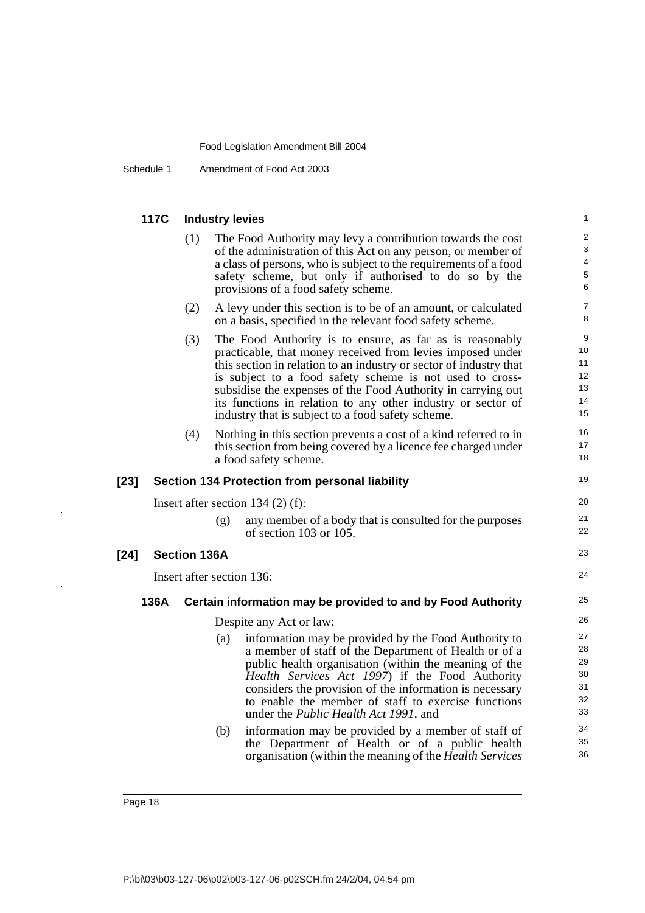Schedule 1 Amendment of Food Act 2003

#### **117C Industry levies** (1) The Food Authority may levy a contribution towards the cost of the administration of this Act on any person, or member of a class of persons, who is subject to the requirements of a food safety scheme, but only if authorised to do so by the provisions of a food safety scheme. (2) A levy under this section is to be of an amount, or calculated on a basis, specified in the relevant food safety scheme. (3) The Food Authority is to ensure, as far as is reasonably practicable, that money received from levies imposed under this section in relation to an industry or sector of industry that is subject to a food safety scheme is not used to crosssubsidise the expenses of the Food Authority in carrying out its functions in relation to any other industry or sector of industry that is subject to a food safety scheme. (4) Nothing in this section prevents a cost of a kind referred to in this section from being covered by a licence fee charged under a food safety scheme. **[23] Section 134 Protection from personal liability** Insert after section 134 (2) (f): (g) any member of a body that is consulted for the purposes of section 103 or 105. **[24] Section 136A** Insert after section 136: **136A Certain information may be provided to and by Food Authority** Despite any Act or law: (a) information may be provided by the Food Authority to a member of staff of the Department of Health or of a public health organisation (within the meaning of the *Health Services Act 1997*) if the Food Authority considers the provision of the information is necessary to enable the member of staff to exercise functions under the *Public Health Act 1991*, and (b) information may be provided by a member of staff of the Department of Health or of a public health organisation (within the meaning of the *Health Services* 1  $\overline{2}$ 3 4 5 6 7 8 9 10 11 12 13 14 15 16 17 18 19 20 21 22  $23$ 24 25 26 27 28 29 30 31 32 33 34 35 36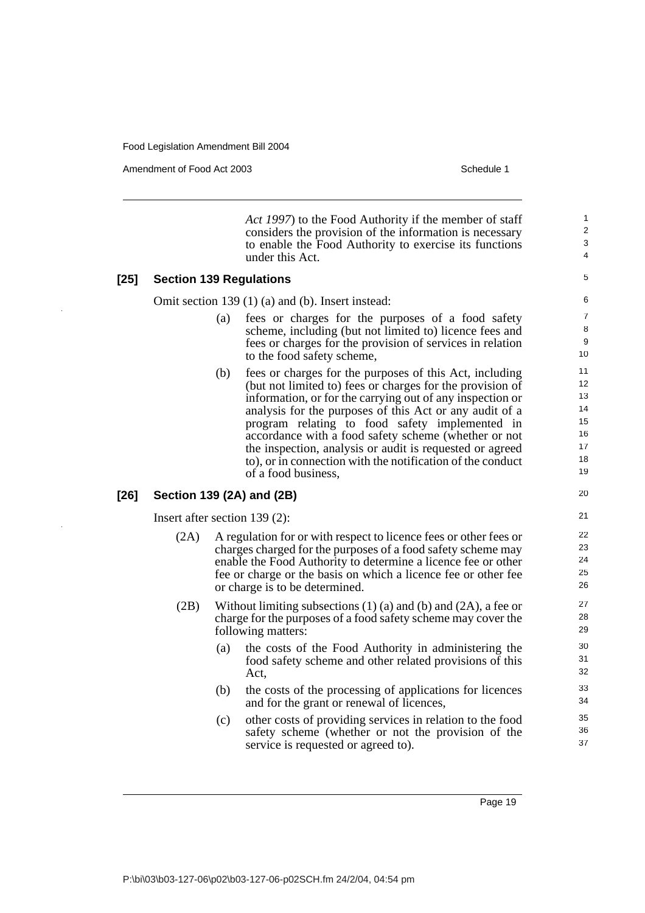Amendment of Food Act 2003 **Schedule 1** and the state of the Schedule 1

*Act 1997*) to the Food Authority if the member of staff considers the provision of the information is necessary to enable the Food Authority to exercise its functions under this Act.

#### **[25] Section 139 Regulations**

Omit section 139 (1) (a) and (b). Insert instead:

- (a) fees or charges for the purposes of a food safety scheme, including (but not limited to) licence fees and fees or charges for the provision of services in relation to the food safety scheme,
- (b) fees or charges for the purposes of this Act, including (but not limited to) fees or charges for the provision of information, or for the carrying out of any inspection or analysis for the purposes of this Act or any audit of a program relating to food safety implemented in accordance with a food safety scheme (whether or not the inspection, analysis or audit is requested or agreed to), or in connection with the notification of the conduct of a food business,

#### **[26] Section 139 (2A) and (2B)**

Insert after section 139 (2):

- (2A) A regulation for or with respect to licence fees or other fees or charges charged for the purposes of a food safety scheme may enable the Food Authority to determine a licence fee or other fee or charge or the basis on which a licence fee or other fee or charge is to be determined.
- (2B) Without limiting subsections  $(1)$  (a) and  $(b)$  and  $(2A)$ , a fee or charge for the purposes of a food safety scheme may cover the following matters:
	- (a) the costs of the Food Authority in administering the food safety scheme and other related provisions of this Act,
	- (b) the costs of the processing of applications for licences and for the grant or renewal of licences,
	- (c) other costs of providing services in relation to the food safety scheme (whether or not the provision of the service is requested or agreed to).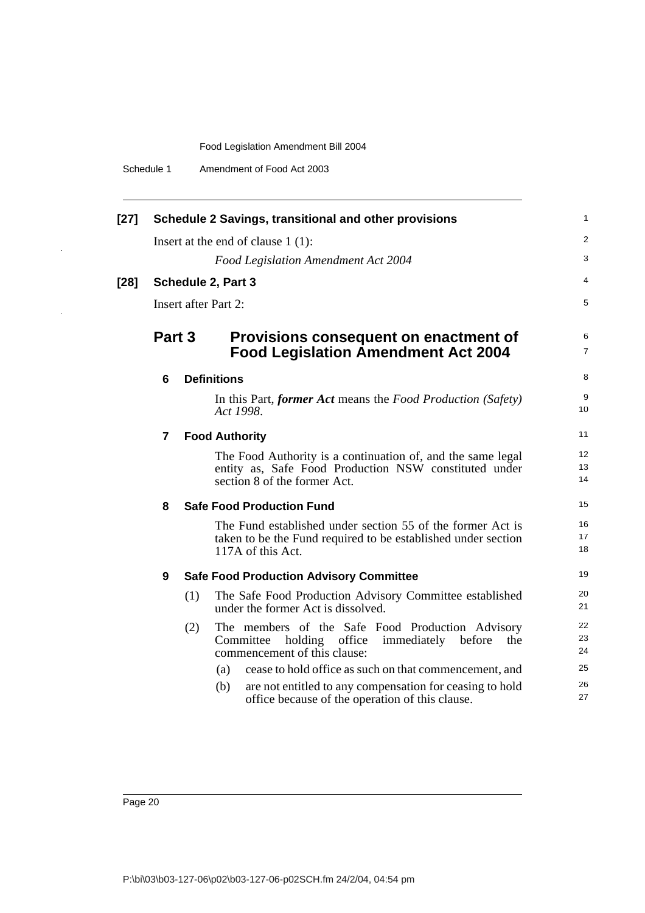| $[27]$ |                |                             | Schedule 2 Savings, transitional and other provisions                                                                                                | 1              |
|--------|----------------|-----------------------------|------------------------------------------------------------------------------------------------------------------------------------------------------|----------------|
|        |                |                             | Insert at the end of clause $1(1)$ :                                                                                                                 | 2              |
|        |                |                             | Food Legislation Amendment Act 2004                                                                                                                  | 3              |
| $[28]$ |                |                             | <b>Schedule 2, Part 3</b>                                                                                                                            | 4              |
|        |                | <b>Insert after Part 2:</b> |                                                                                                                                                      | 5              |
|        |                |                             |                                                                                                                                                      |                |
|        | Part 3         |                             | Provisions consequent on enactment of<br><b>Food Legislation Amendment Act 2004</b>                                                                  | 6<br>7         |
|        | 6              |                             | <b>Definitions</b>                                                                                                                                   | 8              |
|        |                |                             | In this Part, former Act means the Food Production (Safety)<br>Act 1998.                                                                             | 9<br>10        |
|        | $\overline{7}$ |                             | <b>Food Authority</b>                                                                                                                                | 11             |
|        |                |                             | The Food Authority is a continuation of, and the same legal<br>entity as, Safe Food Production NSW constituted under<br>section 8 of the former Act. | 12<br>13<br>14 |
|        | 8              |                             | <b>Safe Food Production Fund</b>                                                                                                                     | 15             |
|        |                |                             | The Fund established under section 55 of the former Act is<br>taken to be the Fund required to be established under section<br>117A of this Act.     | 16<br>17<br>18 |
|        | 9              |                             | <b>Safe Food Production Advisory Committee</b>                                                                                                       | 19             |
|        |                | (1)                         | The Safe Food Production Advisory Committee established<br>under the former Act is dissolved.                                                        | 20<br>21       |
|        |                | (2)                         | The members of the Safe Food Production Advisory<br>Committee<br>holding office<br>immediately before<br>the<br>commencement of this clause:         | 22<br>23<br>24 |
|        |                |                             | cease to hold office as such on that commencement, and<br>(a)                                                                                        | 25             |
|        |                |                             | are not entitled to any compensation for ceasing to hold<br>(b)<br>office because of the operation of this clause.                                   | 26<br>27       |

i.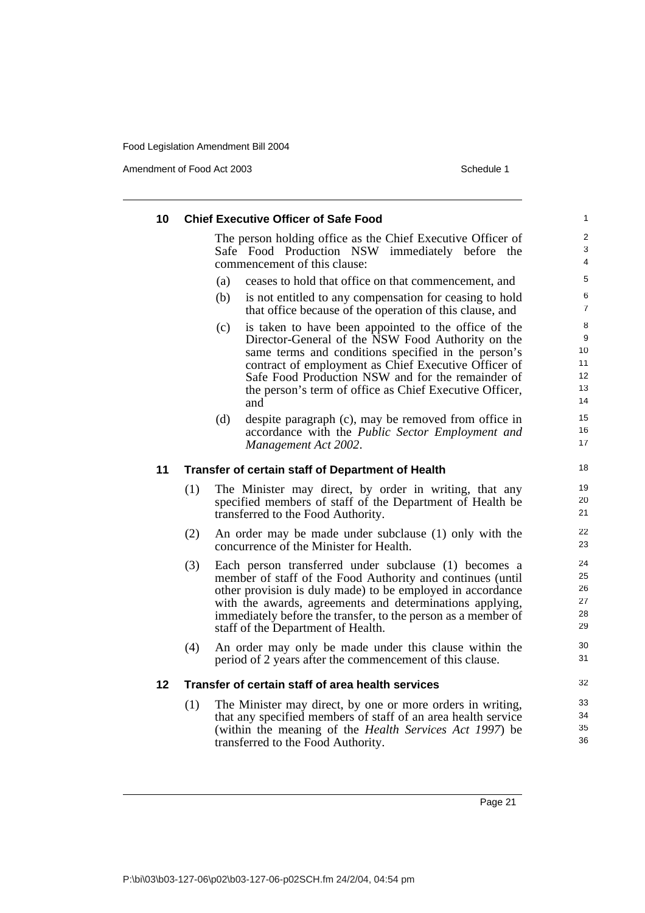Amendment of Food Act 2003 Schedule 1

| 10 |     | <b>Chief Executive Officer of Safe Food</b>                                                                                                                                                                                                                                                                                                            | 1                                              |
|----|-----|--------------------------------------------------------------------------------------------------------------------------------------------------------------------------------------------------------------------------------------------------------------------------------------------------------------------------------------------------------|------------------------------------------------|
|    |     | The person holding office as the Chief Executive Officer of<br>Safe Food Production NSW immediately before the<br>commencement of this clause:                                                                                                                                                                                                         | $\overline{\mathbf{c}}$<br>3<br>$\overline{4}$ |
|    |     | ceases to hold that office on that commencement, and<br>(a)                                                                                                                                                                                                                                                                                            | 5                                              |
|    |     | (b)<br>is not entitled to any compensation for ceasing to hold<br>that office because of the operation of this clause, and                                                                                                                                                                                                                             | 6<br>7                                         |
|    |     | is taken to have been appointed to the office of the<br>(c)<br>Director-General of the NSW Food Authority on the<br>same terms and conditions specified in the person's<br>contract of employment as Chief Executive Officer of<br>Safe Food Production NSW and for the remainder of<br>the person's term of office as Chief Executive Officer,<br>and | 8<br>9<br>10<br>11<br>12<br>13<br>14           |
|    |     | (d)<br>despite paragraph (c), may be removed from office in<br>accordance with the Public Sector Employment and<br>Management Act 2002.                                                                                                                                                                                                                | 15<br>16<br>17                                 |
| 11 |     | Transfer of certain staff of Department of Health                                                                                                                                                                                                                                                                                                      | 18                                             |
|    | (1) | The Minister may direct, by order in writing, that any<br>specified members of staff of the Department of Health be<br>transferred to the Food Authority.                                                                                                                                                                                              | 19<br>20<br>21                                 |
|    | (2) | An order may be made under subclause (1) only with the<br>concurrence of the Minister for Health.                                                                                                                                                                                                                                                      | 22<br>23                                       |
|    | (3) | Each person transferred under subclause (1) becomes a<br>member of staff of the Food Authority and continues (until<br>other provision is duly made) to be employed in accordance<br>with the awards, agreements and determinations applying,<br>immediately before the transfer, to the person as a member of<br>staff of the Department of Health.   | 24<br>25<br>26<br>27<br>28<br>29               |
|    | (4) | An order may only be made under this clause within the<br>period of 2 years after the commencement of this clause.                                                                                                                                                                                                                                     | 30<br>31                                       |
| 12 |     | Transfer of certain staff of area health services                                                                                                                                                                                                                                                                                                      | 32                                             |
|    | (1) | The Minister may direct, by one or more orders in writing,<br>that any specified members of staff of an area health service<br>(within the meaning of the Health Services Act 1997) be<br>transferred to the Food Authority.                                                                                                                           | 33<br>34<br>35<br>36                           |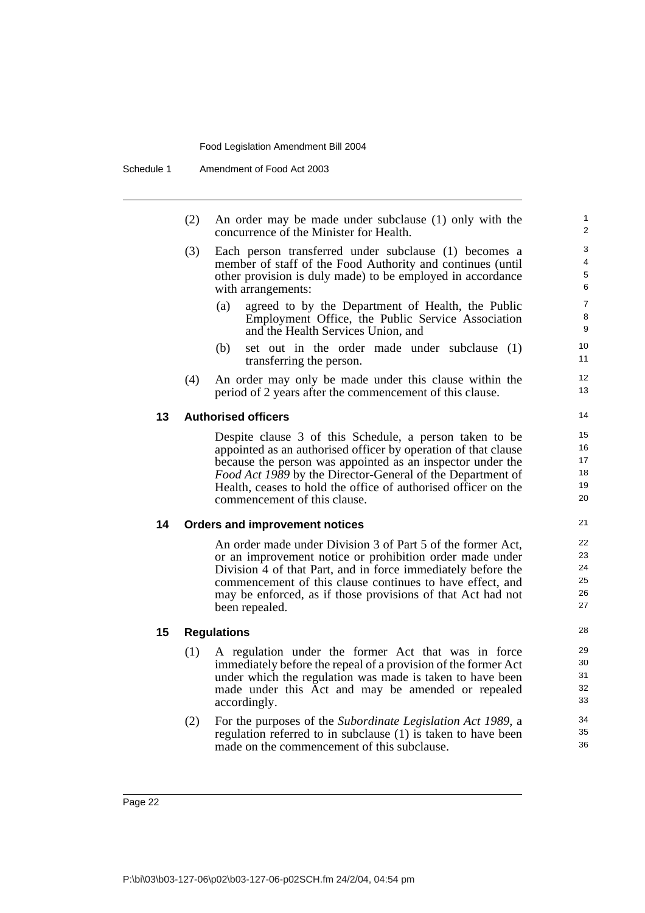(2) An order may be made under subclause (1) only with the concurrence of the Minister for Health.

- (3) Each person transferred under subclause (1) becomes a member of staff of the Food Authority and continues (until other provision is duly made) to be employed in accordance with arrangements:
	- (a) agreed to by the Department of Health, the Public Employment Office, the Public Service Association and the Health Services Union, and
	- (b) set out in the order made under subclause (1) transferring the person.
- (4) An order may only be made under this clause within the period of 2 years after the commencement of this clause.

#### **13 Authorised officers**

Despite clause 3 of this Schedule, a person taken to be appointed as an authorised officer by operation of that clause because the person was appointed as an inspector under the *Food Act 1989* by the Director-General of the Department of Health, ceases to hold the office of authorised officer on the commencement of this clause.

#### **14 Orders and improvement notices**

An order made under Division 3 of Part 5 of the former Act, or an improvement notice or prohibition order made under Division 4 of that Part, and in force immediately before the commencement of this clause continues to have effect, and may be enforced, as if those provisions of that Act had not been repealed.

#### **15 Regulations**

- (1) A regulation under the former Act that was in force immediately before the repeal of a provision of the former Act under which the regulation was made is taken to have been made under this Act and may be amended or repealed accordingly.
- (2) For the purposes of the *Subordinate Legislation Act 1989*, a regulation referred to in subclause (1) is taken to have been made on the commencement of this subclause.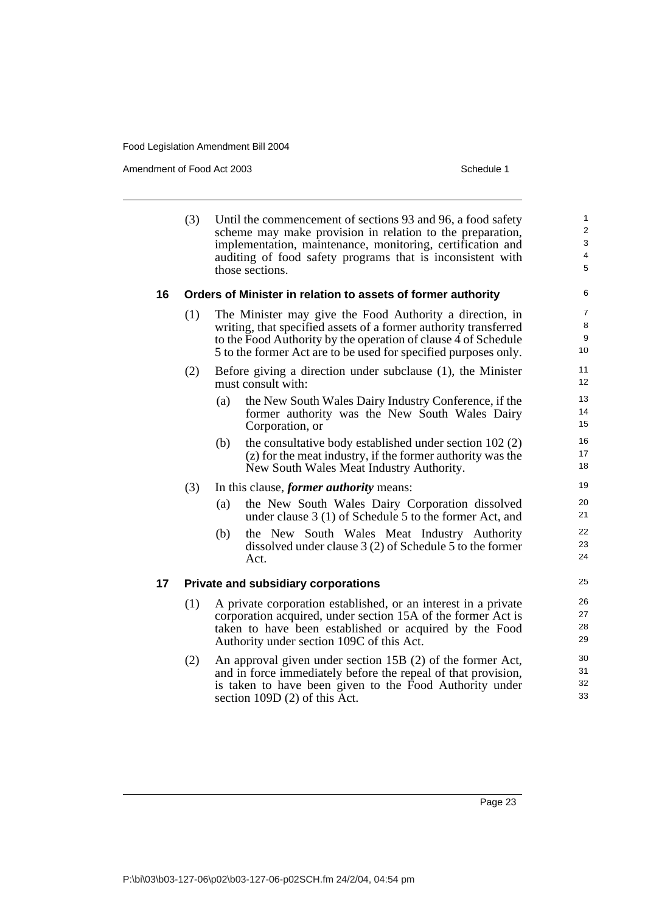Amendment of Food Act 2003 Schedule 1

|    | (3) |     | Until the commencement of sections 93 and 96, a food safety<br>scheme may make provision in relation to the preparation,<br>implementation, maintenance, monitoring, certification and<br>auditing of food safety programs that is inconsistent with<br>those sections. | $\mathbf{1}$<br>$\mathbf{2}$<br>$\mathbf{3}$<br>$\overline{\mathbf{4}}$<br>$\sqrt{5}$ |
|----|-----|-----|-------------------------------------------------------------------------------------------------------------------------------------------------------------------------------------------------------------------------------------------------------------------------|---------------------------------------------------------------------------------------|
| 16 |     |     | Orders of Minister in relation to assets of former authority                                                                                                                                                                                                            | 6                                                                                     |
|    | (1) |     | The Minister may give the Food Authority a direction, in<br>writing, that specified assets of a former authority transferred<br>to the Food Authority by the operation of clause 4 of Schedule<br>5 to the former Act are to be used for specified purposes only.       | $\overline{7}$<br>8<br>9<br>10 <sup>1</sup>                                           |
|    | (2) |     | Before giving a direction under subclause (1), the Minister<br>must consult with:                                                                                                                                                                                       | 11<br>12                                                                              |
|    |     | (a) | the New South Wales Dairy Industry Conference, if the<br>former authority was the New South Wales Dairy<br>Corporation, or                                                                                                                                              | 13<br>14<br>15                                                                        |
|    |     | (b) | the consultative body established under section 102 (2)<br>(z) for the meat industry, if the former authority was the<br>New South Wales Meat Industry Authority.                                                                                                       | 16<br>17<br>18                                                                        |
|    | (3) |     | In this clause, <i>former authority</i> means:                                                                                                                                                                                                                          | 19                                                                                    |
|    |     | (a) | the New South Wales Dairy Corporation dissolved<br>under clause 3 (1) of Schedule 5 to the former Act, and                                                                                                                                                              | 20<br>21                                                                              |
|    |     | (b) | the New South Wales Meat Industry Authority<br>dissolved under clause $3(2)$ of Schedule 5 to the former<br>Act.                                                                                                                                                        | 22<br>23<br>24                                                                        |
| 17 |     |     | <b>Private and subsidiary corporations</b>                                                                                                                                                                                                                              | 25                                                                                    |
|    | (1) |     | A private corporation established, or an interest in a private<br>corporation acquired, under section 15A of the former Act is<br>taken to have been established or acquired by the Food<br>Authority under section 109C of this Act.                                   | 26<br>27<br>28<br>29                                                                  |
|    | (2) |     | An approval given under section 15B (2) of the former Act,<br>and in force immediately before the repeal of that provision,<br>is taken to have been given to the Food Authority under<br>section 109D (2) of this Act.                                                 | 30<br>31<br>32<br>33                                                                  |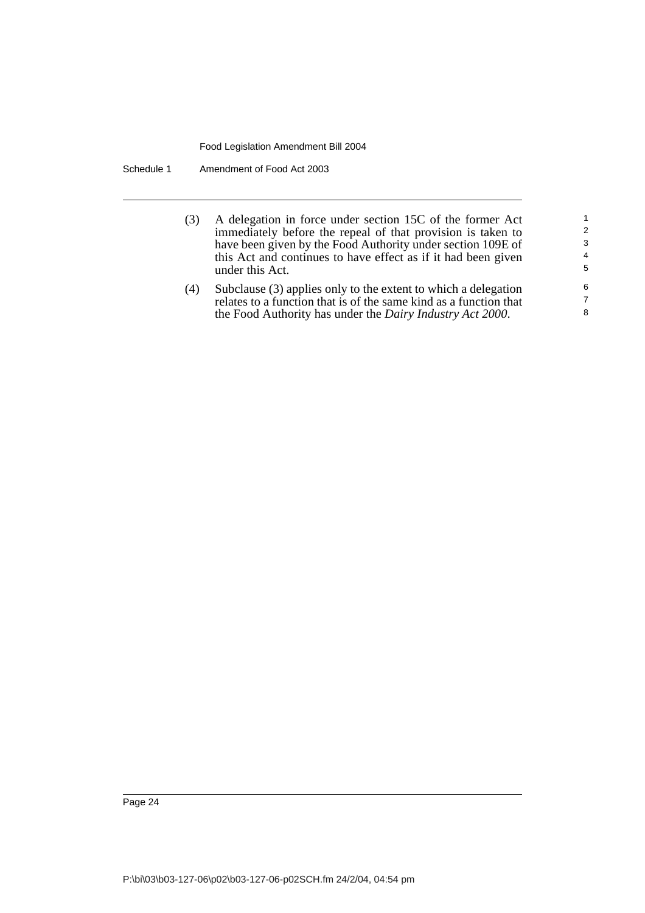Schedule 1 Amendment of Food Act 2003

(3) A delegation in force under section 15C of the former Act immediately before the repeal of that provision is taken to have been given by the Food Authority under section 109E of this Act and continues to have effect as if it had been given under this Act.

(4) Subclause (3) applies only to the extent to which a delegation relates to a function that is of the same kind as a function that the Food Authority has under the *Dairy Industry Act 2000*.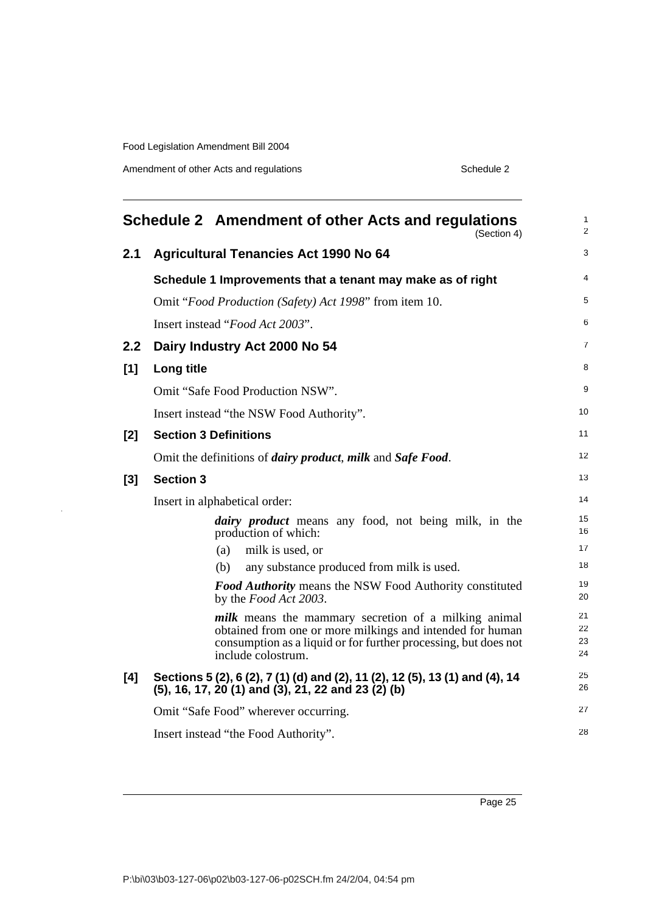$\bar{z}$ 

Amendment of other Acts and regulations **Schedule 2** Schedule 2

|       | Schedule 2 Amendment of other Acts and regulations<br>(Section 4)                                                                                                                                                 | 1<br>$\overline{2}$  |
|-------|-------------------------------------------------------------------------------------------------------------------------------------------------------------------------------------------------------------------|----------------------|
| 2.1   | <b>Agricultural Tenancies Act 1990 No 64</b>                                                                                                                                                                      | 3                    |
|       | Schedule 1 Improvements that a tenant may make as of right                                                                                                                                                        | 4                    |
|       | Omit "Food Production (Safety) Act 1998" from item 10.                                                                                                                                                            | 5                    |
|       | Insert instead "Food Act 2003".                                                                                                                                                                                   | 6                    |
| 2.2   | Dairy Industry Act 2000 No 54                                                                                                                                                                                     | 7                    |
| [1]   | Long title                                                                                                                                                                                                        | 8                    |
|       | Omit "Safe Food Production NSW".                                                                                                                                                                                  | 9                    |
|       | Insert instead "the NSW Food Authority".                                                                                                                                                                          | 10                   |
| [2]   | <b>Section 3 Definitions</b>                                                                                                                                                                                      | 11                   |
|       | Omit the definitions of <i>dairy product</i> , <i>milk</i> and <i>Safe Food</i> .                                                                                                                                 | 12                   |
| $[3]$ | <b>Section 3</b>                                                                                                                                                                                                  | 13                   |
|       | Insert in alphabetical order:                                                                                                                                                                                     | 14                   |
|       | <i>dairy product</i> means any food, not being milk, in the<br>production of which:                                                                                                                               | 15<br>16             |
|       | milk is used, or<br>(a)                                                                                                                                                                                           | 17                   |
|       | any substance produced from milk is used.<br>(b)                                                                                                                                                                  | 18                   |
|       | <b>Food Authority</b> means the NSW Food Authority constituted<br>by the Food Act 2003.                                                                                                                           | 19<br>20             |
|       | <i>milk</i> means the mammary secretion of a milking animal<br>obtained from one or more milkings and intended for human<br>consumption as a liquid or for further processing, but does not<br>include colostrum. | 21<br>22<br>23<br>24 |
| [4]   | Sections 5 (2), 6 (2), 7 (1) (d) and (2), 11 (2), 12 (5), 13 (1) and (4), 14<br>$(5)$ , 16, 17, 20 $(1)$ and $(3)$ , 21, 22 and 23 $(2)$ (b)                                                                      | 25<br>26             |
|       | Omit "Safe Food" wherever occurring.                                                                                                                                                                              | 27                   |
|       | Insert instead "the Food Authority".                                                                                                                                                                              | 28                   |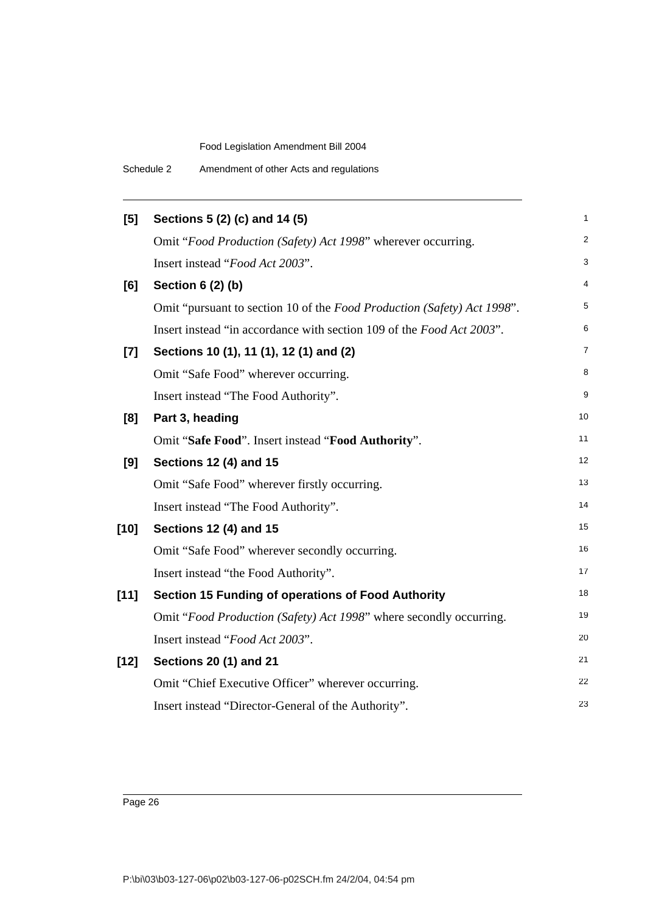| [5]    | Sections 5 (2) (c) and 14 (5)                                           | $\mathbf{1}$   |
|--------|-------------------------------------------------------------------------|----------------|
|        | Omit "Food Production (Safety) Act 1998" wherever occurring.            | $\overline{2}$ |
|        | Insert instead "Food Act 2003".                                         | 3              |
| [6]    | Section 6 (2) (b)                                                       | 4              |
|        | Omit "pursuant to section 10 of the Food Production (Safety) Act 1998". | 5              |
|        | Insert instead "in accordance with section 109 of the Food Act 2003".   | 6              |
| $[7]$  | Sections 10 (1), 11 (1), 12 (1) and (2)                                 | 7              |
|        | Omit "Safe Food" wherever occurring.                                    | 8              |
|        | Insert instead "The Food Authority".                                    | 9              |
| [8]    | Part 3, heading                                                         | 10             |
|        | Omit "Safe Food". Insert instead "Food Authority".                      | 11             |
| [9]    | <b>Sections 12 (4) and 15</b>                                           | 12             |
|        | Omit "Safe Food" wherever firstly occurring.                            | 13             |
|        | Insert instead "The Food Authority".                                    | 14             |
| $[10]$ | <b>Sections 12 (4) and 15</b>                                           | 15             |
|        | Omit "Safe Food" wherever secondly occurring.                           | 16             |
|        | Insert instead "the Food Authority".                                    | 17             |
| $[11]$ | Section 15 Funding of operations of Food Authority                      | 18             |
|        | Omit "Food Production (Safety) Act 1998" where secondly occurring.      | 19             |
|        | Insert instead "Food Act 2003".                                         | 20             |
| $[12]$ | <b>Sections 20 (1) and 21</b>                                           | 21             |
|        | Omit "Chief Executive Officer" wherever occurring.                      | 22             |
|        | Insert instead "Director-General of the Authority".                     | 23             |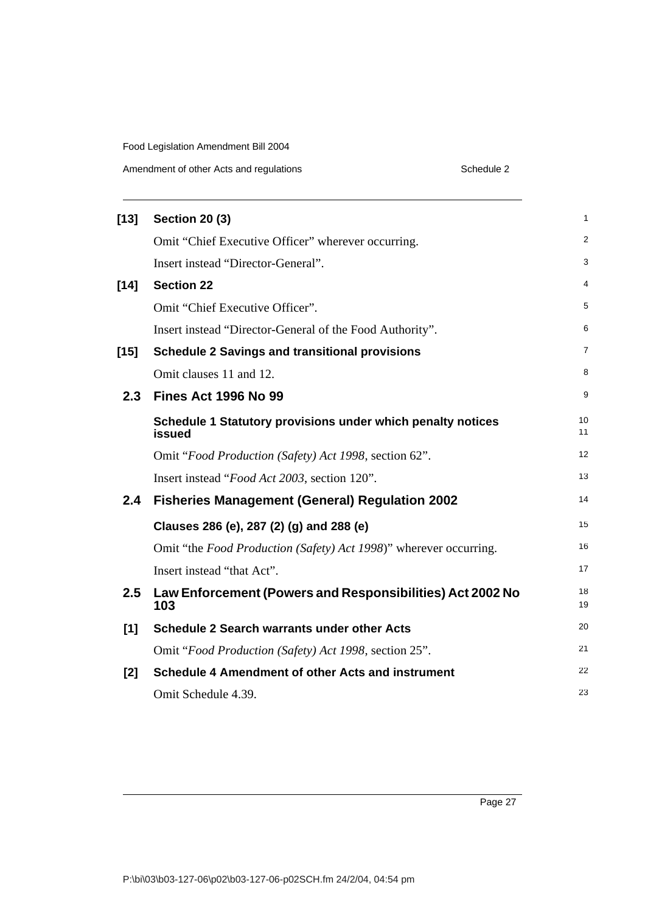| $[13]$           | <b>Section 20 (3)</b>                                                 | $\mathbf{1}$   |
|------------------|-----------------------------------------------------------------------|----------------|
|                  | Omit "Chief Executive Officer" wherever occurring.                    | 2              |
|                  | Insert instead "Director-General".                                    | 3              |
| $[14]$           | <b>Section 22</b>                                                     | 4              |
|                  | Omit "Chief Executive Officer".                                       | 5              |
|                  | Insert instead "Director-General of the Food Authority".              | 6              |
| $[15]$           | <b>Schedule 2 Savings and transitional provisions</b>                 | $\overline{7}$ |
|                  | Omit clauses 11 and 12.                                               | 8              |
| 2.3              | <b>Fines Act 1996 No 99</b>                                           | 9              |
|                  | Schedule 1 Statutory provisions under which penalty notices<br>issued | 10<br>11       |
|                  | Omit "Food Production (Safety) Act 1998, section 62".                 | 12             |
|                  | Insert instead " <i>Food Act 2003</i> , section 120".                 | 13             |
| 2.4              | <b>Fisheries Management (General) Regulation 2002</b>                 | 14             |
|                  | Clauses 286 (e), 287 (2) (g) and 288 (e)                              | 15             |
|                  | Omit "the Food Production (Safety) Act 1998)" wherever occurring.     | 16             |
|                  | Insert instead "that Act".                                            | 17             |
| $2.5\phantom{0}$ | Law Enforcement (Powers and Responsibilities) Act 2002 No<br>103      | 18<br>19       |
| $[1]$            | <b>Schedule 2 Search warrants under other Acts</b>                    | 20             |
|                  | Omit "Food Production (Safety) Act 1998, section 25".                 | 21             |
| [2]              | Schedule 4 Amendment of other Acts and instrument                     | 22             |
|                  | Omit Schedule 4.39.                                                   | 23             |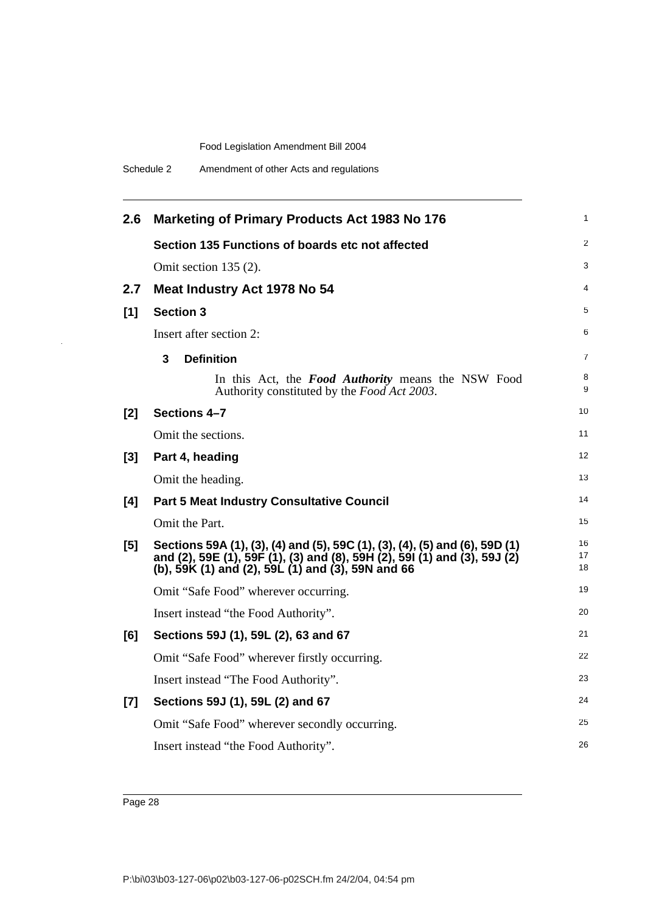| 2.6   | <b>Marketing of Primary Products Act 1983 No 176</b>                                                                                                                                                          | $\mathbf{1}$   |
|-------|---------------------------------------------------------------------------------------------------------------------------------------------------------------------------------------------------------------|----------------|
|       | Section 135 Functions of boards etc not affected                                                                                                                                                              | 2              |
|       | Omit section $135(2)$ .                                                                                                                                                                                       | 3              |
| 2.7   | Meat Industry Act 1978 No 54                                                                                                                                                                                  | 4              |
| [1]   | <b>Section 3</b>                                                                                                                                                                                              | 5              |
|       | Insert after section 2:                                                                                                                                                                                       | 6              |
|       | 3<br><b>Definition</b>                                                                                                                                                                                        | $\overline{7}$ |
|       | In this Act, the <b>Food Authority</b> means the NSW Food<br>Authority constituted by the Food Act 2003.                                                                                                      | 8<br>9         |
| [2]   | Sections 4-7                                                                                                                                                                                                  | 10             |
|       | Omit the sections.                                                                                                                                                                                            | 11             |
| [3]   | Part 4, heading                                                                                                                                                                                               | 12             |
|       | Omit the heading.                                                                                                                                                                                             | 13             |
| [4]   | <b>Part 5 Meat Industry Consultative Council</b>                                                                                                                                                              | 14             |
|       | Omit the Part.                                                                                                                                                                                                | 15             |
| [5]   | Sections 59A (1), (3), (4) and (5), 59C (1), (3), (4), (5) and (6), 59D (1)<br>and (2), 59E (1), 59F (1), (3) and (8), 59H (2), 59I (1) and (3), 59J (2)<br>(b), 59K (1) and (2), 59L (1) and (3), 59N and 66 | 16<br>17<br>18 |
|       | Omit "Safe Food" wherever occurring.                                                                                                                                                                          | 19             |
|       | Insert instead "the Food Authority".                                                                                                                                                                          | 20             |
| [6]   | Sections 59J (1), 59L (2), 63 and 67                                                                                                                                                                          | 21             |
|       | Omit "Safe Food" wherever firstly occurring.                                                                                                                                                                  | 22             |
|       | Insert instead "The Food Authority".                                                                                                                                                                          | 23             |
| $[7]$ | Sections 59J (1), 59L (2) and 67                                                                                                                                                                              | 24             |
|       | Omit "Safe Food" wherever secondly occurring.                                                                                                                                                                 | 25             |
|       | Insert instead "the Food Authority".                                                                                                                                                                          | 26             |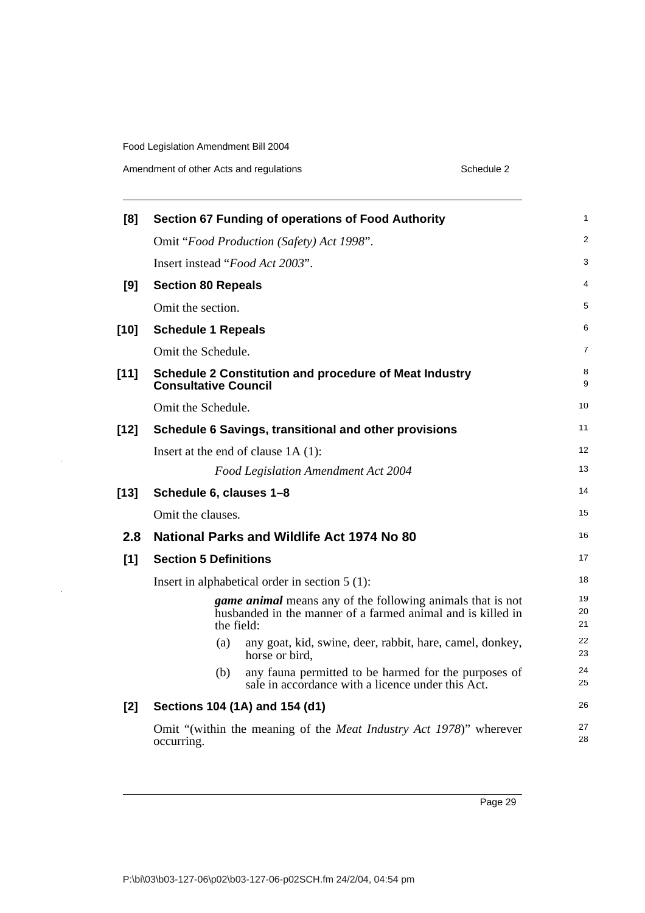| [8]    | <b>Section 67 Funding of operations of Food Authority</b>                                                                                      | 1              |
|--------|------------------------------------------------------------------------------------------------------------------------------------------------|----------------|
|        | Omit "Food Production (Safety) Act 1998".                                                                                                      | 2              |
|        | Insert instead "Food Act 2003".                                                                                                                | 3              |
| [9]    | <b>Section 80 Repeals</b>                                                                                                                      | 4              |
|        | Omit the section.                                                                                                                              | 5              |
| $[10]$ | <b>Schedule 1 Repeals</b>                                                                                                                      | 6              |
|        | Omit the Schedule.                                                                                                                             | $\overline{7}$ |
| $[11]$ | <b>Schedule 2 Constitution and procedure of Meat Industry</b><br><b>Consultative Council</b>                                                   | 8<br>9         |
|        | Omit the Schedule.                                                                                                                             | 10             |
| $[12]$ | Schedule 6 Savings, transitional and other provisions                                                                                          | 11             |
|        | Insert at the end of clause $1A(1)$ :                                                                                                          | 12             |
|        | Food Legislation Amendment Act 2004                                                                                                            | 13             |
| $[13]$ | Schedule 6, clauses 1-8                                                                                                                        | 14             |
|        | Omit the clauses.                                                                                                                              | 15             |
| 2.8    | National Parks and Wildlife Act 1974 No 80                                                                                                     | 16             |
| [1]    | <b>Section 5 Definitions</b>                                                                                                                   | 17             |
|        | Insert in alphabetical order in section $5(1)$ :                                                                                               | 18             |
|        | <i>game animal</i> means any of the following animals that is not<br>husbanded in the manner of a farmed animal and is killed in<br>the field: | 19<br>20<br>21 |
|        | any goat, kid, swine, deer, rabbit, hare, camel, donkey,<br>(a)<br>horse or bird,                                                              | 22<br>23       |
|        | any fauna permitted to be harmed for the purposes of<br>(b)<br>sale in accordance with a licence under this Act.                               | 24<br>25       |
| [2]    | Sections 104 (1A) and 154 (d1)                                                                                                                 | 26             |
|        | Omit "(within the meaning of the <i>Meat Industry Act 1978)</i> " wherever<br>occurring.                                                       | 27<br>28       |
|        |                                                                                                                                                |                |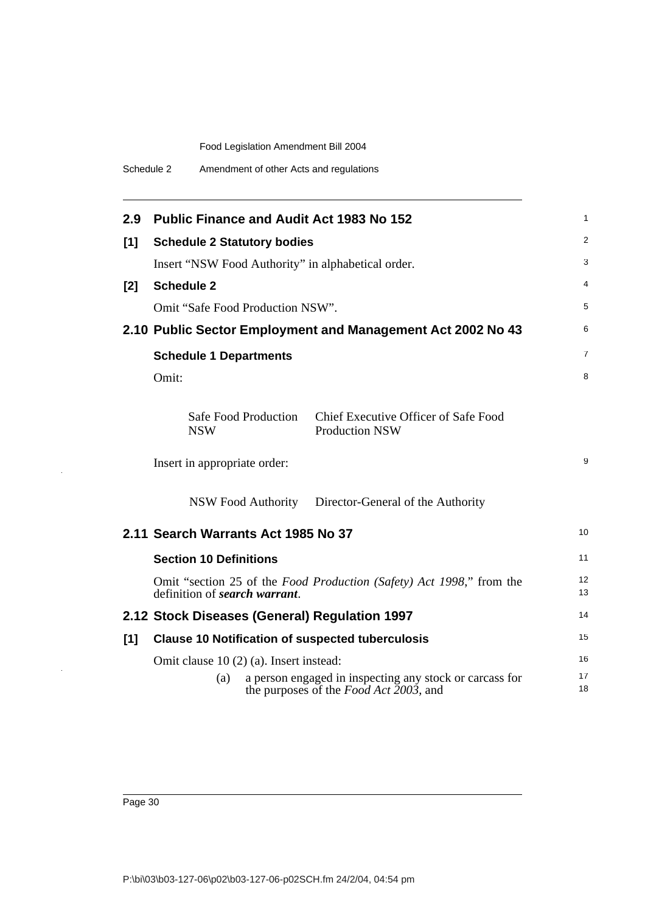| 2.9 | <b>Public Finance and Audit Act 1983 No 152</b>                                                                  | 1              |
|-----|------------------------------------------------------------------------------------------------------------------|----------------|
| [1] | <b>Schedule 2 Statutory bodies</b>                                                                               | $\overline{2}$ |
|     | Insert "NSW Food Authority" in alphabetical order.                                                               | 3              |
| [2] | <b>Schedule 2</b>                                                                                                | 4              |
|     | Omit "Safe Food Production NSW".                                                                                 | 5              |
|     | 2.10 Public Sector Employment and Management Act 2002 No 43                                                      | 6              |
|     | <b>Schedule 1 Departments</b>                                                                                    | $\overline{7}$ |
|     | Omit:                                                                                                            | 8              |
|     |                                                                                                                  |                |
|     | <b>Safe Food Production</b><br>Chief Executive Officer of Safe Food<br><b>NSW</b><br><b>Production NSW</b>       |                |
|     | Insert in appropriate order:                                                                                     | 9              |
|     | NSW Food Authority Director-General of the Authority                                                             |                |
|     | 2.11 Search Warrants Act 1985 No 37                                                                              | 10             |
|     | <b>Section 10 Definitions</b>                                                                                    | 11             |
|     | Omit "section 25 of the <i>Food Production (Safety) Act 1998</i> ," from the<br>definition of search warrant.    | 12<br>13       |
|     | 2.12 Stock Diseases (General) Regulation 1997                                                                    | 14             |
| [1] | <b>Clause 10 Notification of suspected tuberculosis</b>                                                          | 15             |
|     | Omit clause 10 (2) (a). Insert instead:                                                                          | 16             |
|     | a person engaged in inspecting any stock or carcass for<br>(a)<br>the purposes of the <i>Food Act 2003</i> , and | 17<br>18       |